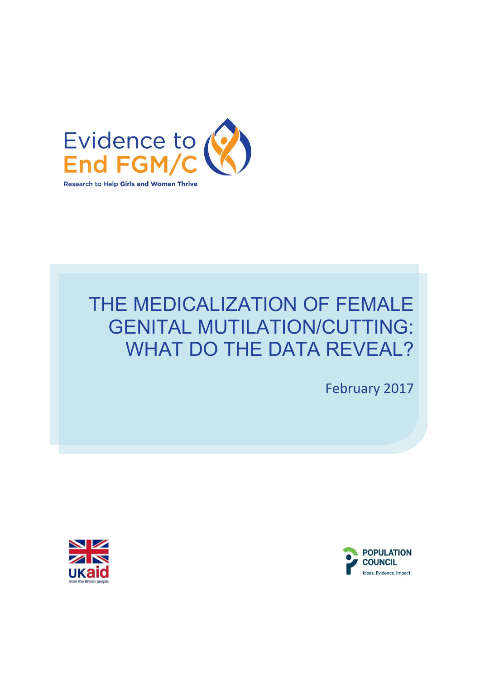

# THE MEDICALIZATION OF FEMALE GENITAL MUTILATION/CUTTING: WHAT DO THE DATA REVEAL?

February 2017



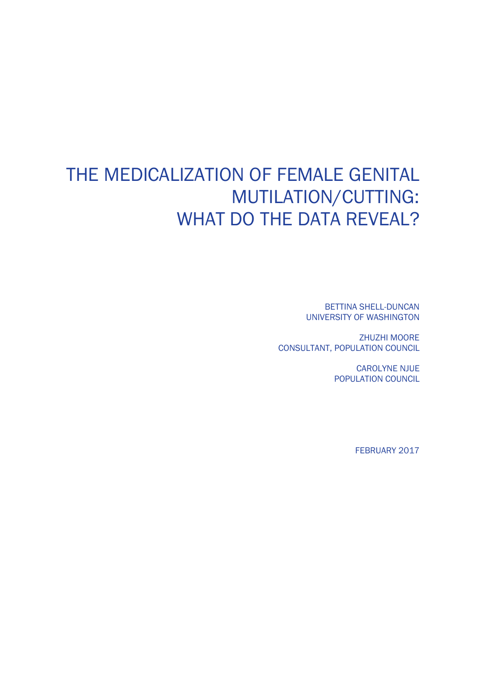# THE MEDICALIZATION OF FEMALE GENITAL MUTILATION/CUTTING: WHAT DO THE DATA REVEAL?

BETTINA SHELL-DUNCAN UNIVERSITY OF WASHINGTON

ZHUZHI MOORE CONSULTANT, POPULATION COUNCIL

> CAROLYNE NJUE POPULATION COUNCIL

> > FEBRUARY 2017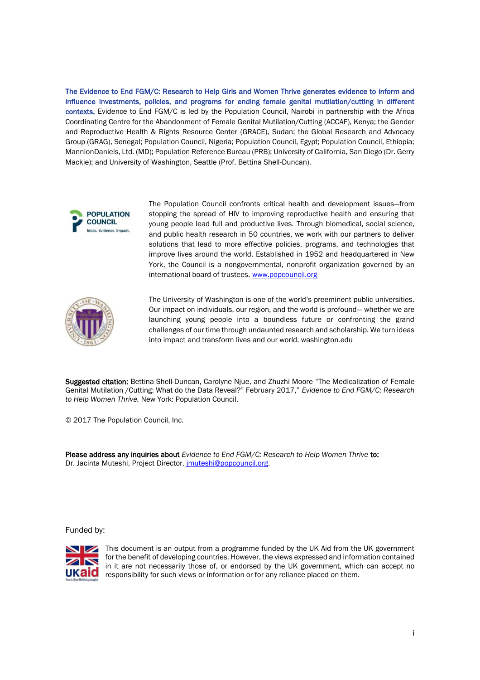The Evidence to End FGM/C: Research to Help Girls and Women Thrive generates evidence to inform and influence investments, policies, and programs for ending female genital mutilation/cutting in different contexts. Evidence to End FGM/C is led by the Population Council, Nairobi in partnership with the Africa Coordinating Centre for the Abandonment of Female Genital Mutilation/Cutting (ACCAF), Kenya; the Gender and Reproductive Health & Rights Resource Center (GRACE), Sudan; the Global Research and Advocacy Group (GRAG), Senegal; Population Council, Nigeria; Population Council, Egypt; Population Council, Ethiopia; MannionDaniels, Ltd. (MD); Population Reference Bureau (PRB); University of California, San Diego (Dr. Gerry Mackie); and University of Washington, Seattle (Prof. Bettina Shell-Duncan).



The Population Council confronts critical health and development issues—from stopping the spread of HIV to improving reproductive health and ensuring that young people lead full and productive lives. Through biomedical, social science, and public health research in 50 countries, we work with our partners to deliver solutions that lead to more effective policies, programs, and technologies that improve lives around the world. Established in 1952 and headquartered in New York, the Council is a nongovernmental, nonprofit organization governed by an international board of trustees. www.popcouncil.org



The University of Washington is one of the world's preeminent public universities. Our impact on individuals, our region, and the world is profound— whether we are launching young people into a boundless future or confronting the grand challenges of our time through undaunted research and scholarship. We turn ideas into impact and transform lives and our world. washington.edu

Suggested citation: Bettina Shell-Duncan, Carolyne Njue, and Zhuzhi Moore "The Medicalization of Female Genital Mutilation /Cutting: What do the Data Reveal?" February 2017," *Evidence to End FGM/C: Research to Help Women Thrive.* New York: Population Council.

© 2017 The Population Council, Inc.

Please address any inquiries about *Evidence to End FGM/C: Research to Help Women Thrive* to: Dr. Jacinta Muteshi, Project Director, *jmuteshi@popcouncil.org*.

Funded by:



This document is an output from a programme funded by the UK Aid from the UK government for the benefit of developing countries. However, the views expressed and information contained in it are not necessarily those of, or endorsed by the UK government, which can accept no responsibility for such views or information or for any reliance placed on them.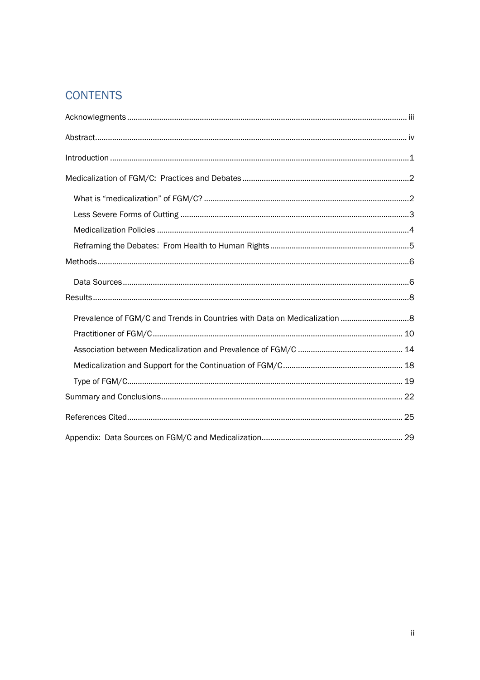## **CONTENTS**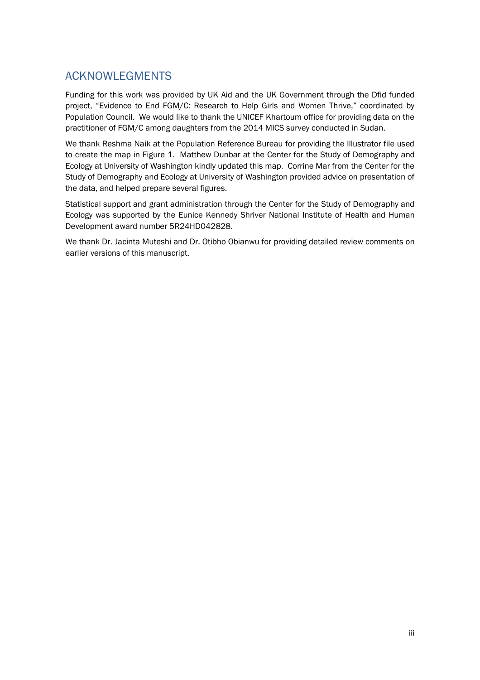### ACKNOWLEGMENTS

Funding for this work was provided by UK Aid and the UK Government through the Dfid funded project, "Evidence to End FGM/C: Research to Help Girls and Women Thrive," coordinated by Population Council. We would like to thank the UNICEF Khartoum office for providing data on the practitioner of FGM/C among daughters from the 2014 MICS survey conducted in Sudan.

We thank Reshma Naik at the Population Reference Bureau for providing the Illustrator file used to create the map in Figure 1. Matthew Dunbar at the Center for the Study of Demography and Ecology at University of Washington kindly updated this map. Corrine Mar from the Center for the Study of Demography and Ecology at University of Washington provided advice on presentation of the data, and helped prepare several figures.

Statistical support and grant administration through the Center for the Study of Demography and Ecology was supported by the Eunice Kennedy Shriver National Institute of Health and Human Development award number 5R24HD042828.

We thank Dr. Jacinta Muteshi and Dr. Otibho Obianwu for providing detailed review comments on earlier versions of this manuscript.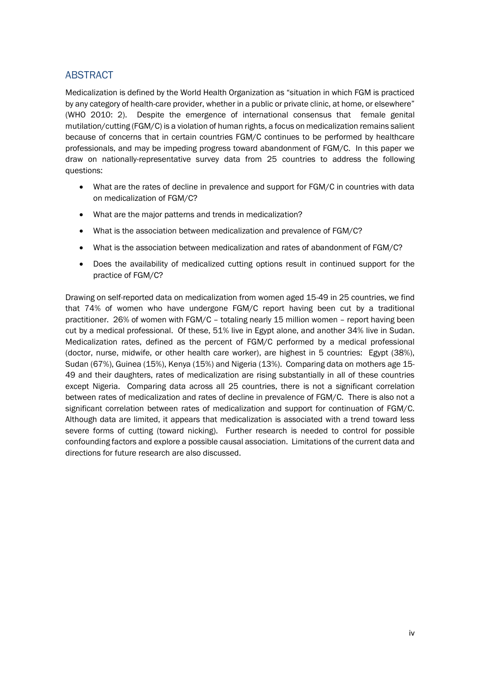### ABSTRACT

Medicalization is defined by the World Health Organization as "situation in which FGM is practiced by any category of health-care provider, whether in a public or private clinic, at home, or elsewhere" (WHO 2010: 2). Despite the emergence of international consensus that female genital mutilation/cutting (FGM/C) is a violation of human rights, a focus on medicalization remains salient because of concerns that in certain countries FGM/C continues to be performed by healthcare professionals, and may be impeding progress toward abandonment of FGM/C. In this paper we draw on nationally-representative survey data from 25 countries to address the following questions:

- What are the rates of decline in prevalence and support for FGM/C in countries with data on medicalization of FGM/C?
- What are the major patterns and trends in medicalization?
- What is the association between medicalization and prevalence of FGM/C?
- What is the association between medicalization and rates of abandonment of FGM/C?
- Does the availability of medicalized cutting options result in continued support for the practice of FGM/C?

Drawing on self-reported data on medicalization from women aged 15-49 in 25 countries, we find that 74% of women who have undergone FGM/C report having been cut by a traditional practitioner. 26% of women with FGM/C – totaling nearly 15 million women – report having been cut by a medical professional. Of these, 51% live in Egypt alone, and another 34% live in Sudan. Medicalization rates, defined as the percent of FGM/C performed by a medical professional (doctor, nurse, midwife, or other health care worker), are highest in 5 countries: Egypt (38%), Sudan (67%), Guinea (15%), Kenya (15%) and Nigeria (13%). Comparing data on mothers age 15- 49 and their daughters, rates of medicalization are rising substantially in all of these countries except Nigeria. Comparing data across all 25 countries, there is not a significant correlation between rates of medicalization and rates of decline in prevalence of FGM/C. There is also not a significant correlation between rates of medicalization and support for continuation of FGM/C. Although data are limited, it appears that medicalization is associated with a trend toward less severe forms of cutting (toward nicking). Further research is needed to control for possible confounding factors and explore a possible causal association. Limitations of the current data and directions for future research are also discussed.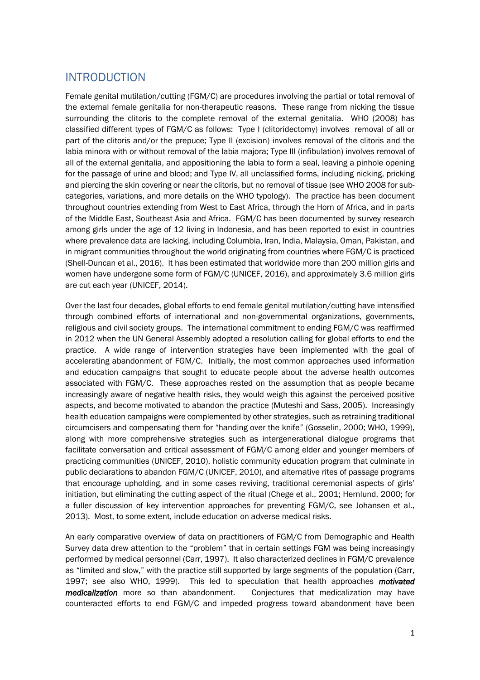### INTRODUCTION

Female genital mutilation/cutting (FGM/C) are procedures involving the partial or total removal of the external female genitalia for non-therapeutic reasons. These range from nicking the tissue surrounding the clitoris to the complete removal of the external genitalia. WHO (2008) has classified different types of FGM/C as follows: Type I (clitoridectomy) involves removal of all or part of the clitoris and/or the prepuce; Type II (excision) involves removal of the clitoris and the labia minora with or without removal of the labia majora; Type III (infibulation) involves removal of all of the external genitalia, and appositioning the labia to form a seal, leaving a pinhole opening for the passage of urine and blood; and Type IV, all unclassified forms, including nicking, pricking and piercing the skin covering or near the clitoris, but no removal of tissue (see WHO 2008 for subcategories, variations, and more details on the WHO typology). The practice has been document throughout countries extending from West to East Africa, through the Horn of Africa, and in parts of the Middle East, Southeast Asia and Africa. FGM/C has been documented by survey research among girls under the age of 12 living in Indonesia, and has been reported to exist in countries where prevalence data are lacking, including Columbia, Iran, India, Malaysia, Oman, Pakistan, and in migrant communities throughout the world originating from countries where FGM/C is practiced (Shell-Duncan et al., 2016). It has been estimated that worldwide more than 200 million girls and women have undergone some form of FGM/C (UNICEF, 2016), and approximately 3.6 million girls are cut each year (UNICEF, 2014).

Over the last four decades, global efforts to end female genital mutilation/cutting have intensified through combined efforts of international and non-governmental organizations, governments, religious and civil society groups. The international commitment to ending FGM/C was reaffirmed in 2012 when the UN General Assembly adopted a resolution calling for global efforts to end the practice. A wide range of intervention strategies have been implemented with the goal of accelerating abandonment of FGM/C. Initially, the most common approaches used information and education campaigns that sought to educate people about the adverse health outcomes associated with FGM/C. These approaches rested on the assumption that as people became increasingly aware of negative health risks, they would weigh this against the perceived positive aspects, and become motivated to abandon the practice (Muteshi and Sass, 2005). Increasingly health education campaigns were complemented by other strategies, such as retraining traditional circumcisers and compensating them for "handing over the knife" (Gosselin, 2000; WHO, 1999), along with more comprehensive strategies such as intergenerational dialogue programs that facilitate conversation and critical assessment of FGM/C among elder and younger members of practicing communities (UNICEF, 2010), holistic community education program that culminate in public declarations to abandon FGM/C (UNICEF, 2010), and alternative rites of passage programs that encourage upholding, and in some cases reviving, traditional ceremonial aspects of girls' initiation, but eliminating the cutting aspect of the ritual (Chege et al., 2001; Hernlund, 2000; for a fuller discussion of key intervention approaches for preventing FGM/C, see Johansen et al., 2013). Most, to some extent, include education on adverse medical risks.

An early comparative overview of data on practitioners of FGM/C from Demographic and Health Survey data drew attention to the "problem" that in certain settings FGM was being increasingly performed by medical personnel (Carr, 1997). It also characterized declines in FGM/C prevalence as "limited and slow," with the practice still supported by large segments of the population (Carr, 1997; see also WHO, 1999). This led to speculation that health approaches *motivated medicalization* more so than abandonment. Conjectures that medicalization may have counteracted efforts to end FGM/C and impeded progress toward abandonment have been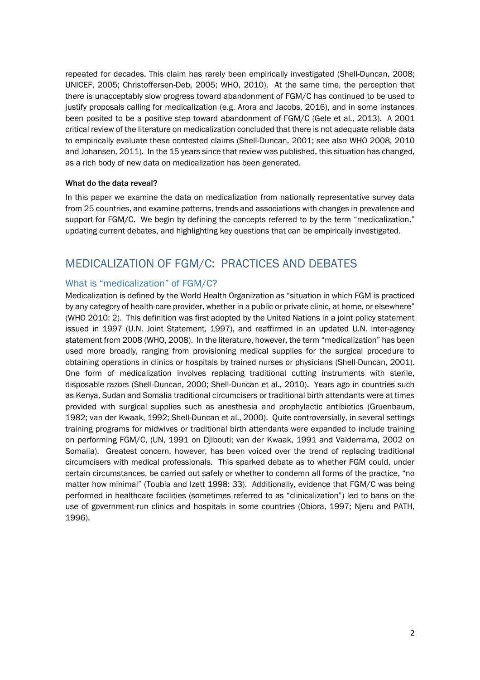repeated for decades. This claim has rarely been empirically investigated (Shell-Duncan, 2008; UNICEF, 2005; Christoffersen-Deb, 2005; WHO, 2010). At the same time, the perception that there is unacceptably slow progress toward abandonment of FGM/C has continued to be used to justify proposals calling for medicalization (e.g. Arora and Jacobs, 2016), and in some instances been posited to be a positive step toward abandonment of FGM/C (Gele et al., 2013). A 2001 critical review of the literature on medicalization concluded that there is not adequate reliable data to empirically evaluate these contested claims (Shell-Duncan, 2001; see also WHO 2008, 2010 and Johansen, 2011). In the 15 years since that review was published, this situation has changed, as a rich body of new data on medicalization has been generated.

#### What do the data reveal?

In this paper we examine the data on medicalization from nationally representative survey data from 25 countries, and examine patterns, trends and associations with changes in prevalence and support for FGM/C. We begin by defining the concepts referred to by the term "medicalization," updating current debates, and highlighting key questions that can be empirically investigated.

### MEDICALIZATION OF FGM/C: PRACTICES AND DEBATES

### What is "medicalization" of FGM/C?

Medicalization is defined by the World Health Organization as "situation in which FGM is practiced by any category of health-care provider, whether in a public or private clinic, at home, or elsewhere" (WHO 2010: 2). This definition was first adopted by the United Nations in a joint policy statement issued in 1997 (U.N. Joint Statement, 1997), and reaffirmed in an updated U.N. inter-agency statement from 2008 (WHO, 2008). In the literature, however, the term "medicalization" has been used more broadly, ranging from provisioning medical supplies for the surgical procedure to obtaining operations in clinics or hospitals by trained nurses or physicians (Shell-Duncan, 2001). One form of medicalization involves replacing traditional cutting instruments with sterile, disposable razors (Shell-Duncan, 2000; Shell-Duncan et al., 2010). Years ago in countries such as Kenya, Sudan and Somalia traditional circumcisers or traditional birth attendants were at times provided with surgical supplies such as anesthesia and prophylactic antibiotics (Gruenbaum, 1982; van der Kwaak, 1992; Shell-Duncan et al., 2000). Quite controversially, in several settings training programs for midwives or traditional birth attendants were expanded to include training on performing FGM/C, (UN, 1991 on Djibouti; van der Kwaak, 1991 and Valderrama, 2002 on Somalia). Greatest concern, however, has been voiced over the trend of replacing traditional circumcisers with medical professionals. This sparked debate as to whether FGM could, under certain circumstances, be carried out safely or whether to condemn all forms of the practice, "no matter how minimal" (Toubia and Izett 1998: 33). Additionally, evidence that FGM/C was being performed in healthcare facilities (sometimes referred to as "clinicalization") led to bans on the use of government-run clinics and hospitals in some countries (Obiora, 1997; Njeru and PATH, 1996).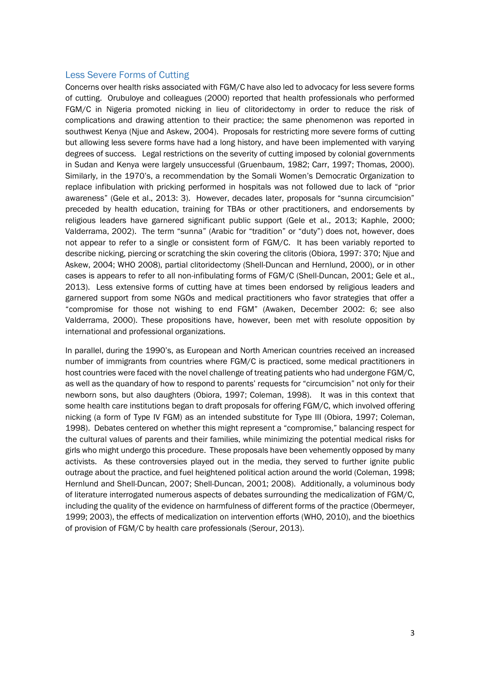#### Less Severe Forms of Cutting

Concerns over health risks associated with FGM/C have also led to advocacy for less severe forms of cutting. Orubuloye and colleagues (2000) reported that health professionals who performed FGM/C in Nigeria promoted nicking in lieu of clitoridectomy in order to reduce the risk of complications and drawing attention to their practice; the same phenomenon was reported in southwest Kenya (Njue and Askew, 2004). Proposals for restricting more severe forms of cutting but allowing less severe forms have had a long history, and have been implemented with varying degrees of success. Legal restrictions on the severity of cutting imposed by colonial governments in Sudan and Kenya were largely unsuccessful (Gruenbaum, 1982; Carr, 1997; Thomas, 2000). Similarly, in the 1970's, a recommendation by the Somali Women's Democratic Organization to replace infibulation with pricking performed in hospitals was not followed due to lack of "prior awareness" (Gele et al., 2013: 3). However, decades later, proposals for "sunna circumcision" preceded by health education, training for TBAs or other practitioners, and endorsements by religious leaders have garnered significant public support (Gele et al., 2013; Kaphle, 2000; Valderrama, 2002). The term "sunna" (Arabic for "tradition" or "duty") does not, however, does not appear to refer to a single or consistent form of FGM/C. It has been variably reported to describe nicking, piercing or scratching the skin covering the clitoris (Obiora, 1997: 370; Njue and Askew, 2004; WHO 2008), partial clitoridectomy (Shell-Duncan and Hernlund, 2000), or in other cases is appears to refer to all non-infibulating forms of FGM/C (Shell-Duncan, 2001; Gele et al., 2013). Less extensive forms of cutting have at times been endorsed by religious leaders and garnered support from some NGOs and medical practitioners who favor strategies that offer a "compromise for those not wishing to end FGM" (Awaken, December 2002: 6; see also Valderrama, 2000). These propositions have, however, been met with resolute opposition by international and professional organizations.

In parallel, during the 1990's, as European and North American countries received an increased number of immigrants from countries where FGM/C is practiced, some medical practitioners in host countries were faced with the novel challenge of treating patients who had undergone FGM/C, as well as the quandary of how to respond to parents' requests for "circumcision" not only for their newborn sons, but also daughters (Obiora, 1997; Coleman, 1998). It was in this context that some health care institutions began to draft proposals for offering FGM/C, which involved offering nicking (a form of Type IV FGM) as an intended substitute for Type III (Obiora, 1997; Coleman, 1998). Debates centered on whether this might represent a "compromise," balancing respect for the cultural values of parents and their families, while minimizing the potential medical risks for girls who might undergo this procedure. These proposals have been vehemently opposed by many activists. As these controversies played out in the media, they served to further ignite public outrage about the practice, and fuel heightened political action around the world (Coleman, 1998; Hernlund and Shell-Duncan, 2007; Shell-Duncan, 2001; 2008). Additionally, a voluminous body of literature interrogated numerous aspects of debates surrounding the medicalization of FGM/C, including the quality of the evidence on harmfulness of different forms of the practice (Obermeyer, 1999; 2003), the effects of medicalization on intervention efforts (WHO, 2010), and the bioethics of provision of FGM/C by health care professionals (Serour, 2013).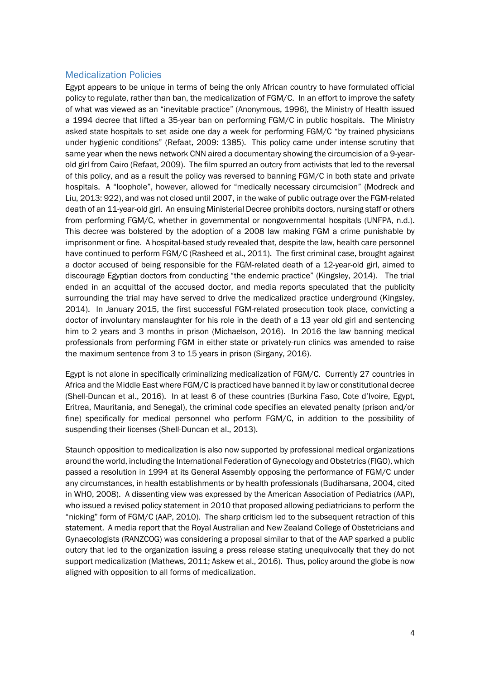#### Medicalization Policies

Egypt appears to be unique in terms of being the only African country to have formulated official policy to regulate, rather than ban, the medicalization of FGM/C. In an effort to improve the safety of what was viewed as an "inevitable practice" (Anonymous, 1996), the Ministry of Health issued a 1994 decree that lifted a 35-year ban on performing FGM/C in public hospitals. The Ministry asked state hospitals to set aside one day a week for performing FGM/C "by trained physicians under hygienic conditions" (Refaat, 2009: 1385). This policy came under intense scrutiny that same year when the news network CNN aired a documentary showing the circumcision of a 9-yearold girl from Cairo (Refaat, 2009). The film spurred an outcry from activists that led to the reversal of this policy, and as a result the policy was reversed to banning FGM/C in both state and private hospitals. A "loophole", however, allowed for "medically necessary circumcision" (Modreck and Liu, 2013: 922), and was not closed until 2007, in the wake of public outrage over the FGM-related death of an 11-year-old girl. An ensuing Ministerial Decree prohibits doctors, nursing staff or others from performing FGM/C, whether in governmental or nongovernmental hospitals (UNFPA, n.d.). This decree was bolstered by the adoption of a 2008 law making FGM a crime punishable by imprisonment or fine. A hospital-based study revealed that, despite the law, health care personnel have continued to perform FGM/C (Rasheed et al., 2011). The first criminal case, brought against a doctor accused of being responsible for the FGM-related death of a 12-year-old girl, aimed to discourage Egyptian doctors from conducting "the endemic practice" (Kingsley, 2014). The trial ended in an acquittal of the accused doctor, and media reports speculated that the publicity surrounding the trial may have served to drive the medicalized practice underground (Kingsley, 2014). In January 2015, the first successful FGM-related prosecution took place, convicting a doctor of involuntary manslaughter for his role in the death of a 13 year old girl and sentencing him to 2 years and 3 months in prison (Michaelson, 2016). In 2016 the law banning medical professionals from performing FGM in either state or privately-run clinics was amended to raise the maximum sentence from 3 to 15 years in prison (Sirgany, 2016).

Egypt is not alone in specifically criminalizing medicalization of FGM/C. Currently 27 countries in Africa and the Middle East where FGM/C is practiced have banned it by law or constitutional decree (Shell-Duncan et al., 2016). In at least 6 of these countries (Burkina Faso, Cote d'Ivoire, Egypt, Eritrea, Mauritania, and Senegal), the criminal code specifies an elevated penalty (prison and/or fine) specifically for medical personnel who perform FGM/C, in addition to the possibility of suspending their licenses (Shell-Duncan et al., 2013).

Staunch opposition to medicalization is also now supported by professional medical organizations around the world, including the International Federation of Gynecology and Obstetrics (FIGO), which passed a resolution in 1994 at its General Assembly opposing the performance of FGM/C under any circumstances, in health establishments or by health professionals (Budiharsana, 2004, cited in WHO, 2008). A dissenting view was expressed by the American Association of Pediatrics (AAP), who issued a revised policy statement in 2010 that proposed allowing pediatricians to perform the "nicking" form of FGM/C (AAP, 2010). The sharp criticism led to the subsequent retraction of this statement. A media report that the Royal Australian and New Zealand College of Obstetricians and Gynaecologists (RANZCOG) was considering a proposal similar to that of the AAP sparked a public outcry that led to the organization issuing a press release stating unequivocally that they do not support medicalization (Mathews, 2011; Askew et al., 2016). Thus, policy around the globe is now aligned with opposition to all forms of medicalization.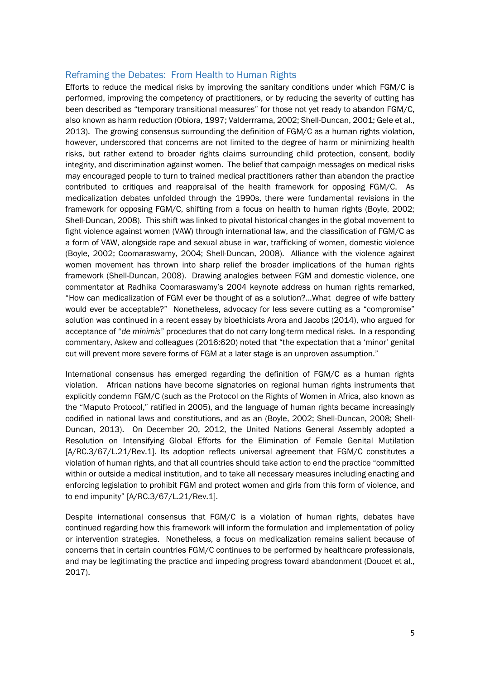#### Reframing the Debates: From Health to Human Rights

Efforts to reduce the medical risks by improving the sanitary conditions under which FGM/C is performed, improving the competency of practitioners, or by reducing the severity of cutting has been described as "temporary transitional measures" for those not yet ready to abandon FGM/C, also known as harm reduction (Obiora, 1997; Valderrrama, 2002; Shell-Duncan, 2001; Gele et al., 2013). The growing consensus surrounding the definition of FGM/C as a human rights violation, however, underscored that concerns are not limited to the degree of harm or minimizing health risks, but rather extend to broader rights claims surrounding child protection, consent, bodily integrity, and discrimination against women. The belief that campaign messages on medical risks may encouraged people to turn to trained medical practitioners rather than abandon the practice contributed to critiques and reappraisal of the health framework for opposing FGM/C. As medicalization debates unfolded through the 1990s, there were fundamental revisions in the framework for opposing FGM/C, shifting from a focus on health to human rights (Boyle, 2002; Shell-Duncan, 2008). This shift was linked to pivotal historical changes in the global movement to fight violence against women (VAW) through international law, and the classification of FGM/C as a form of VAW, alongside rape and sexual abuse in war, trafficking of women, domestic violence (Boyle, 2002; Coomaraswamy, 2004; Shell-Duncan, 2008). Alliance with the violence against women movement has thrown into sharp relief the broader implications of the human rights framework (Shell-Duncan, 2008). Drawing analogies between FGM and domestic violence, one commentator at Radhika Coomaraswamy's 2004 keynote address on human rights remarked, "How can medicalization of FGM ever be thought of as a solution?...What degree of wife battery would ever be acceptable?" Nonetheless, advocacy for less severe cutting as a "compromise" solution was continued in a recent essay by bioethicists Arora and Jacobs (2014), who argued for acceptance of "*de minimis*" procedures that do not carry long-term medical risks. In a responding commentary, Askew and colleagues (2016:620) noted that "the expectation that a 'minor' genital cut will prevent more severe forms of FGM at a later stage is an unproven assumption."

International consensus has emerged regarding the definition of FGM/C as a human rights violation. African nations have become signatories on regional human rights instruments that explicitly condemn FGM/C (such as the Protocol on the Rights of Women in Africa, also known as the "Maputo Protocol," ratified in 2005), and the language of human rights became increasingly codified in national laws and constitutions, and as an (Boyle, 2002; Shell-Duncan, 2008; Shell-Duncan, 2013). On December 20, 2012, the United Nations General Assembly adopted a Resolution on Intensifying Global Efforts for the Elimination of Female Genital Mutilation [A/RC.3/67/L.21/Rev.1]. Its adoption reflects universal agreement that FGM/C constitutes a violation of human rights, and that all countries should take action to end the practice "committed within or outside a medical institution, and to take all necessary measures including enacting and enforcing legislation to prohibit FGM and protect women and girls from this form of violence, and to end impunity" [A/RC.3/67/L.21/Rev.1].

Despite international consensus that FGM/C is a violation of human rights, debates have continued regarding how this framework will inform the formulation and implementation of policy or intervention strategies. Nonetheless, a focus on medicalization remains salient because of concerns that in certain countries FGM/C continues to be performed by healthcare professionals, and may be legitimating the practice and impeding progress toward abandonment (Doucet et al., 2017).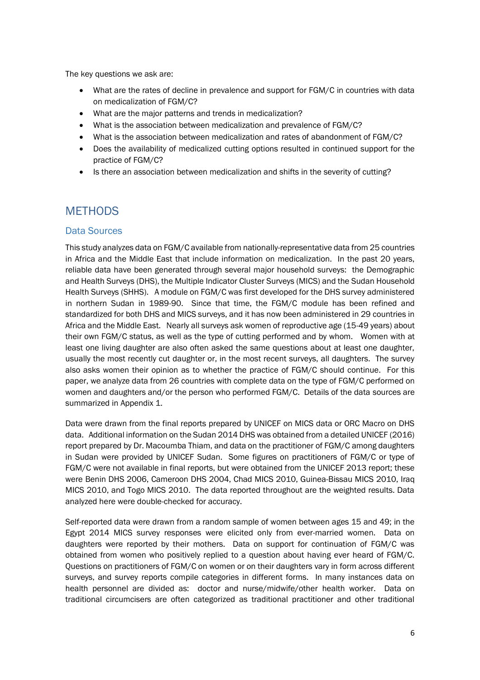The key questions we ask are:

- What are the rates of decline in prevalence and support for FGM/C in countries with data on medicalization of FGM/C?
- What are the major patterns and trends in medicalization?
- What is the association between medicalization and prevalence of FGM/C?
- What is the association between medicalization and rates of abandonment of FGM/C?
- Does the availability of medicalized cutting options resulted in continued support for the practice of FGM/C?
- Is there an association between medicalization and shifts in the severity of cutting?

### **METHODS**

### Data Sources

This study analyzes data on FGM/C available from nationally-representative data from 25 countries in Africa and the Middle East that include information on medicalization. In the past 20 years, reliable data have been generated through several major household surveys: the Demographic and Health Surveys (DHS), the Multiple Indicator Cluster Surveys (MICS) and the Sudan Household Health Surveys (SHHS). A module on FGM/C was first developed for the DHS survey administered in northern Sudan in 1989-90. Since that time, the FGM/C module has been refined and standardized for both DHS and MICS surveys, and it has now been administered in 29 countries in Africa and the Middle East. Nearly all surveys ask women of reproductive age (15-49 years) about their own FGM/C status, as well as the type of cutting performed and by whom. Women with at least one living daughter are also often asked the same questions about at least one daughter, usually the most recently cut daughter or, in the most recent surveys, all daughters. The survey also asks women their opinion as to whether the practice of FGM/C should continue. For this paper, we analyze data from 26 countries with complete data on the type of FGM/C performed on women and daughters and/or the person who performed FGM/C. Details of the data sources are summarized in Appendix 1.

Data were drawn from the final reports prepared by UNICEF on MICS data or ORC Macro on DHS data. Additional information on the Sudan 2014 DHS was obtained from a detailed UNICEF (2016) report prepared by Dr. Macoumba Thiam, and data on the practitioner of FGM/C among daughters in Sudan were provided by UNICEF Sudan. Some figures on practitioners of FGM/C or type of FGM/C were not available in final reports, but were obtained from the UNICEF 2013 report; these were Benin DHS 2006, Cameroon DHS 2004, Chad MICS 2010, Guinea-Bissau MICS 2010, Iraq MICS 2010, and Togo MICS 2010. The data reported throughout are the weighted results. Data analyzed here were double-checked for accuracy.

Self-reported data were drawn from a random sample of women between ages 15 and 49; in the Egypt 2014 MICS survey responses were elicited only from ever-married women. Data on daughters were reported by their mothers. Data on support for continuation of FGM/C was obtained from women who positively replied to a question about having ever heard of FGM/C. Questions on practitioners of FGM/C on women or on their daughters vary in form across different surveys, and survey reports compile categories in different forms. In many instances data on health personnel are divided as: doctor and nurse/midwife/other health worker. Data on traditional circumcisers are often categorized as traditional practitioner and other traditional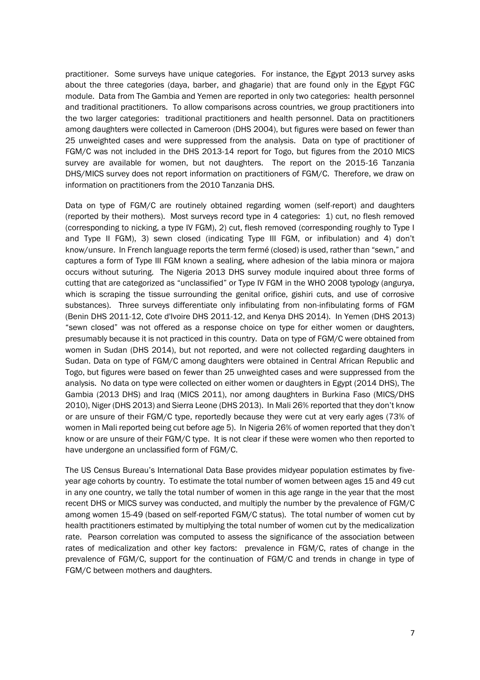practitioner. Some surveys have unique categories. For instance, the Egypt 2013 survey asks about the three categories (daya, barber, and ghagarie) that are found only in the Egypt FGC module. Data from The Gambia and Yemen are reported in only two categories: health personnel and traditional practitioners. To allow comparisons across countries, we group practitioners into the two larger categories: traditional practitioners and health personnel. Data on practitioners among daughters were collected in Cameroon (DHS 2004), but figures were based on fewer than 25 unweighted cases and were suppressed from the analysis. Data on type of practitioner of FGM/C was not included in the DHS 2013-14 report for Togo, but figures from the 2010 MICS survey are available for women, but not daughters. The report on the 2015-16 Tanzania DHS/MICS survey does not report information on practitioners of FGM/C. Therefore, we draw on information on practitioners from the 2010 Tanzania DHS.

Data on type of FGM/C are routinely obtained regarding women (self-report) and daughters (reported by their mothers). Most surveys record type in 4 categories: 1) cut, no flesh removed (corresponding to nicking, a type IV FGM), 2) cut, flesh removed (corresponding roughly to Type I and Type II FGM), 3) sewn closed (indicating Type III FGM, or infibulation) and 4) don't know/unsure. In French language reports the term fermé (closed) is used, rather than "sewn," and captures a form of Type III FGM known a sealing, where adhesion of the labia minora or majora occurs without suturing. The Nigeria 2013 DHS survey module inquired about three forms of cutting that are categorized as "unclassified" or Type IV FGM in the WHO 2008 typology (angurya, which is scraping the tissue surrounding the genital orifice, gishiri cuts, and use of corrosive substances). Three surveys differentiate only infibulating from non-infibulating forms of FGM (Benin DHS 2011-12, Cote d'Ivoire DHS 2011-12, and Kenya DHS 2014). In Yemen (DHS 2013) "sewn closed" was not offered as a response choice on type for either women or daughters, presumably because it is not practiced in this country. Data on type of FGM/C were obtained from women in Sudan (DHS 2014), but not reported, and were not collected regarding daughters in Sudan. Data on type of FGM/C among daughters were obtained in Central African Republic and Togo, but figures were based on fewer than 25 unweighted cases and were suppressed from the analysis. No data on type were collected on either women or daughters in Egypt (2014 DHS), The Gambia (2013 DHS) and Iraq (MICS 2011), nor among daughters in Burkina Faso (MICS/DHS 2010), Niger (DHS 2013) and Sierra Leone (DHS 2013). In Mali 26% reported that they don't know or are unsure of their FGM/C type, reportedly because they were cut at very early ages (73% of women in Mali reported being cut before age 5). In Nigeria 26% of women reported that they don't know or are unsure of their FGM/C type. It is not clear if these were women who then reported to have undergone an unclassified form of FGM/C.

The US Census Bureau's International Data Base provides midyear population estimates by fiveyear age cohorts by country. To estimate the total number of women between ages 15 and 49 cut in any one country, we tally the total number of women in this age range in the year that the most recent DHS or MICS survey was conducted, and multiply the number by the prevalence of FGM/C among women 15-49 (based on self-reported FGM/C status). The total number of women cut by health practitioners estimated by multiplying the total number of women cut by the medicalization rate. Pearson correlation was computed to assess the significance of the association between rates of medicalization and other key factors: prevalence in FGM/C, rates of change in the prevalence of FGM/C, support for the continuation of FGM/C and trends in change in type of FGM/C between mothers and daughters.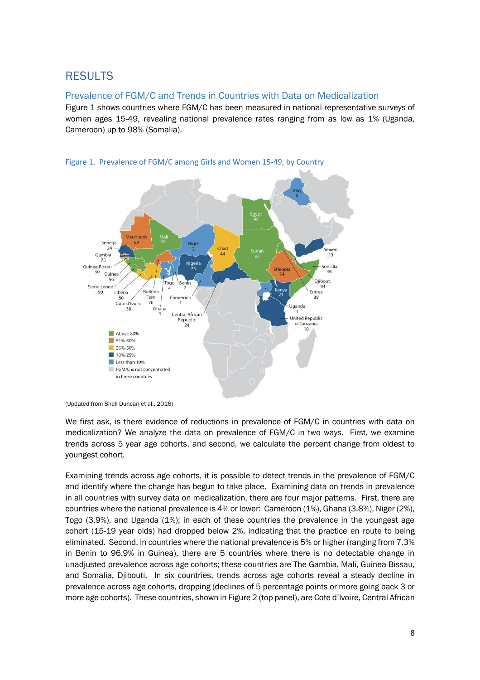### RESULTS

### Prevalence of FGM/C and Trends in Countries with Data on Medicalization

Figure 1 shows countries where FGM/C has been measured in national-representative surveys of women ages 15-49, revealing national prevalence rates ranging from as low as 1% (Uganda, Cameroon) up to 98% (Somalia).



#### Figure 1. Prevalence of FGM/C among Girls and Women 15-49, by Country

We first ask, is there evidence of reductions in prevalence of FGM/C in countries with data on medicalization? We analyze the data on prevalence of FGM/C in two ways. First, we examine trends across 5 year age cohorts, and second, we calculate the percent change from oldest to youngest cohort.

Examining trends across age cohorts, it is possible to detect trends in the prevalence of FGM/C and identify where the change has begun to take place. Examining data on trends in prevalence in all countries with survey data on medicalization, there are four major patterns. First, there are countries where the national prevalence is 4% or lower: Cameroon (1%), Ghana (3.8%), Niger (2%), Togo (3.9%), and Uganda (1%); in each of these countries the prevalence in the youngest age cohort (15-19 year olds) had dropped below 2%, indicating that the practice en route to being eliminated. Second, in countries where the national prevalence is 5% or higher (ranging from 7.3% in Benin to 96.9% in Guinea), there are 5 countries where there is no detectable change in unadjusted prevalence across age cohorts; these countries are The Gambia, Mali, Guinea-Bissau, and Somalia, Djibouti. In six countries, trends across age cohorts reveal a steady decline in prevalence across age cohorts, dropping (declines of 5 percentage points or more going back 3 or more age cohorts). These countries, shown in Figure 2 (top panel), are Cote d'Ivoire, Central African

<sup>(</sup>Updated from Shell-Duncan et al., 2016)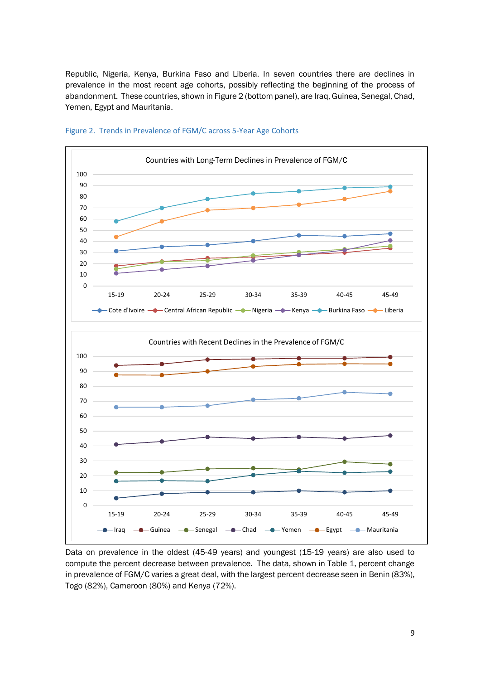Republic, Nigeria, Kenya, Burkina Faso and Liberia. In seven countries there are declines in prevalence in the most recent age cohorts, possibly reflecting the beginning of the process of abandonment. These countries, shown in Figure 2 (bottom panel), are Iraq, Guinea, Senegal, Chad, Yemen, Egypt and Mauritania.





Data on prevalence in the oldest (45-49 years) and youngest (15-19 years) are also used to compute the percent decrease between prevalence. The data, shown in Table 1, percent change in prevalence of FGM/C varies a great deal, with the largest percent decrease seen in Benin (83%), Togo (82%), Cameroon (80%) and Kenya (72%).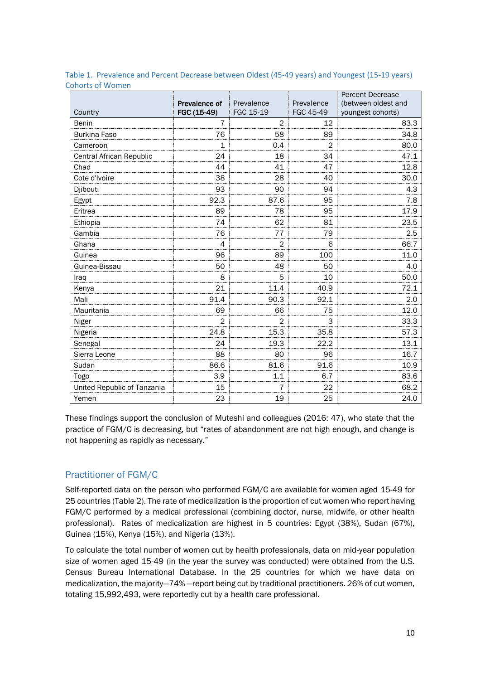|                             |               |                |               | <b>Percent Decrease</b> |
|-----------------------------|---------------|----------------|---------------|-------------------------|
|                             | Prevalence of | Prevalence     | Prevalence    | (between oldest and     |
| Country                     | FGC (15-49)   | FGC 15-19      | FGC 45-49     | youngest cohorts)       |
| Benin                       | 7             | $\overline{2}$ | 12            | 83.3                    |
| <b>Burkina Faso</b>         | 76            | 58             | 89            | 34.8                    |
| Cameroon                    | $\mathbf{1}$  | 0.4            | $\mathcal{P}$ | 80.0                    |
| Central African Republic    | 24            | 18             | 34            | 47.1                    |
| Chad                        | 44            | 41             | 47            | 12.8                    |
| Cote d'Ivoire               | 38            | 28             | 40            | 30.0                    |
| Djibouti                    | 93            | 90             | 94            | 4.3                     |
| Egypt                       | 92.3          | 87.6           | 95            | 7.8                     |
| Eritrea                     | 89            | 78             | 95            | 17.9                    |
| Ethiopia                    | 74            | 62             | 81            | 23.5                    |
| Gambia                      | 76            | 77             | 79            | 2.5                     |
| Ghana                       | 4             | $\overline{2}$ | 6             | 66.7                    |
| Guinea                      | 96            | 89             | 100           | 11.0                    |
| Guinea-Bissau               | 50            | 48             | 50            | 4.0                     |
| Iraq                        | 8             | 5              | 10            | 50.0                    |
| Kenya                       | 21            | 11.4           | 40.9          | 72.1                    |
| Mali                        | 91.4          | 90.3           | 92.1          | 2.0                     |
| Mauritania                  | 69            | 66             | 75            | 12.0                    |
| Niger                       | 2             | 2              | 3             | 33.3                    |
| Nigeria                     | 24.8          | 15.3           | 35.8          | 57.3                    |
| Senegal                     | 24            | 19.3           | 22.2          | 13.1                    |
| Sierra Leone                | 88            | 80             | 96            | 16.7                    |
| Sudan                       | 86.6          | 81.6           | 91.6          | 10.9                    |
| Togo                        | 3.9           | 1.1            | 6.7           | 83.6                    |
| United Republic of Tanzania | 15            | $\overline{7}$ | 22            | 68.2                    |
| Yemen                       | 23            | 19             | 25            | 24.0                    |

Table 1. Prevalence and Percent Decrease between Oldest (45-49 years) and Youngest (15-19 years) Cohorts of Women

These findings support the conclusion of Muteshi and colleagues (2016: 47), who state that the practice of FGM/C is decreasing, but "rates of abandonment are not high enough, and change is not happening as rapidly as necessary."

### Practitioner of FGM/C

Self-reported data on the person who performed FGM/C are available for women aged 15-49 for 25 countries (Table 2). The rate of medicalization is the proportion of cut women who report having FGM/C performed by a medical professional (combining doctor, nurse, midwife, or other health professional). Rates of medicalization are highest in 5 countries: Egypt (38%), Sudan (67%), Guinea (15%), Kenya (15%), and Nigeria (13%).

To calculate the total number of women cut by health professionals, data on mid-year population size of women aged 15-49 (in the year the survey was conducted) were obtained from the U.S. Census Bureau International Database. In the 25 countries for which we have data on medicalization, the majority—74% —report being cut by traditional practitioners. 26% of cut women, totaling 15,992,493, were reportedly cut by a health care professional.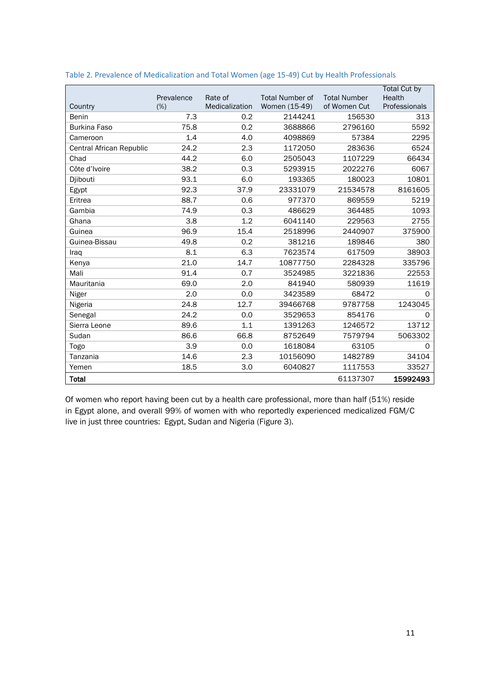|                          |            |                |                        |                     | <b>Total Cut by</b> |
|--------------------------|------------|----------------|------------------------|---------------------|---------------------|
|                          | Prevalence | Rate of        | <b>Total Number of</b> | <b>Total Number</b> | Health              |
| Country                  | (% )       | Medicalization | Women (15-49)          | of Women Cut        | Professionals       |
| Benin                    | 7.3        | 0.2            | 2144241                | 156530              | 313                 |
| <b>Burkina Faso</b>      | 75.8       | 0.2            | 3688866                | 2796160             | 5592                |
| Cameroon                 | 1.4        | 4.0            | 4098869                | 57384               | 2295                |
| Central African Republic | 24.2       | 2.3            | 1172050                | 283636              | 6524                |
| Chad                     | 44.2       | 6.0            | 2505043                | 1107229             | 66434               |
| Côte d'Ivoire            | 38.2       | 0.3            | 5293915                | 2022276             | 6067                |
| Djibouti                 | 93.1       | 6.0            | 193365                 | 180023              | 10801               |
| Egypt                    | 92.3       | 37.9           | 23331079               | 21534578            | 8161605             |
| Eritrea                  | 88.7       | 0.6            | 977370                 | 869559              | 5219                |
| Gambia                   | 74.9       | 0.3            | 486629                 | 364485              | 1093                |
| Ghana                    | 3.8        | 1.2            | 6041140                | 229563              | 2755                |
| Guinea                   | 96.9       | 15.4           | 2518996                | 2440907             | 375900              |
| Guinea-Bissau            | 49.8       | 0.2            | 381216                 | 189846              | 380                 |
| Iraq                     | 8.1        | 6.3            | 7623574                | 617509              | 38903               |
| Kenya                    | 21.0       | 14.7           | 10877750               | 2284328             | 335796              |
| Mali                     | 91.4       | 0.7            | 3524985                | 3221836             | 22553               |
| Mauritania               | 69.0       | 2.0            | 841940                 | 580939              | 11619               |
| Niger                    | 2.0        | 0.0            | 3423589                | 68472               | $\Omega$            |
| Nigeria                  | 24.8       | 12.7           | 39466768               | 9787758             | 1243045             |
| Senegal                  | 24.2       | 0.0            | 3529653                | 854176              | 0                   |
| Sierra Leone             | 89.6       | 1.1            | 1391263                | 1246572             | 13712               |
| Sudan                    | 86.6       | 66.8           | 8752649                | 7579794             | 5063302             |
| Togo                     | 3.9        | 0.0            | 1618084                | 63105               | $\mathbf 0$         |
| Tanzania                 | 14.6       | 2.3            | 10156090               | 1482789             | 34104               |
| Yemen                    | 18.5       | 3.0            | 6040827                | 1117553             | 33527               |
| <b>Total</b>             |            |                |                        | 61137307            | 15992493            |

| Table 2. Prevalence of Medicalization and Total Women (age 15-49) Cut by Health Professionals |
|-----------------------------------------------------------------------------------------------|
|-----------------------------------------------------------------------------------------------|

Of women who report having been cut by a health care professional, more than half (51%) reside in Egypt alone, and overall 99% of women with who reportedly experienced medicalized FGM/C live in just three countries: Egypt, Sudan and Nigeria (Figure 3).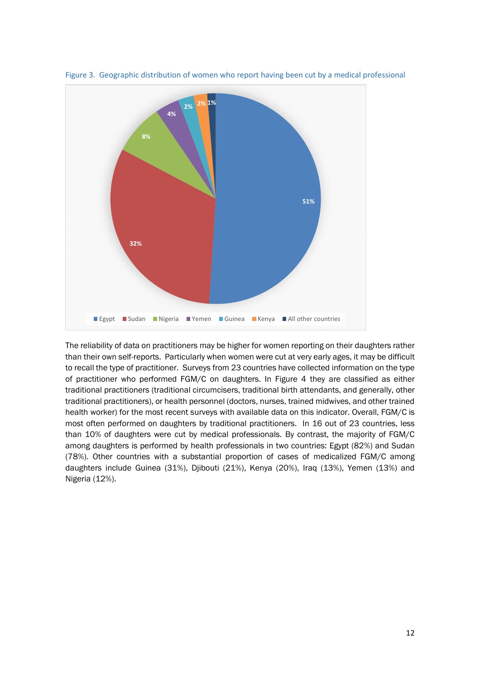

Figure 3. Geographic distribution of women who report having been cut by a medical professional

The reliability of data on practitioners may be higher for women reporting on their daughters rather than their own self-reports. Particularly when women were cut at very early ages, it may be difficult to recall the type of practitioner. Surveys from 23 countries have collected information on the type of practitioner who performed FGM/C on daughters. In Figure 4 they are classified as either traditional practitioners (traditional circumcisers, traditional birth attendants, and generally, other traditional practitioners), or health personnel (doctors, nurses, trained midwives, and other trained health worker) for the most recent surveys with available data on this indicator. Overall, FGM/C is most often performed on daughters by traditional practitioners. In 16 out of 23 countries, less than 10% of daughters were cut by medical professionals. By contrast, the majority of FGM/C among daughters is performed by health professionals in two countries: Egypt (82%) and Sudan (78%). Other countries with a substantial proportion of cases of medicalized FGM/C among daughters include Guinea (31%), Djibouti (21%), Kenya (20%), Iraq (13%), Yemen (13%) and Nigeria (12%).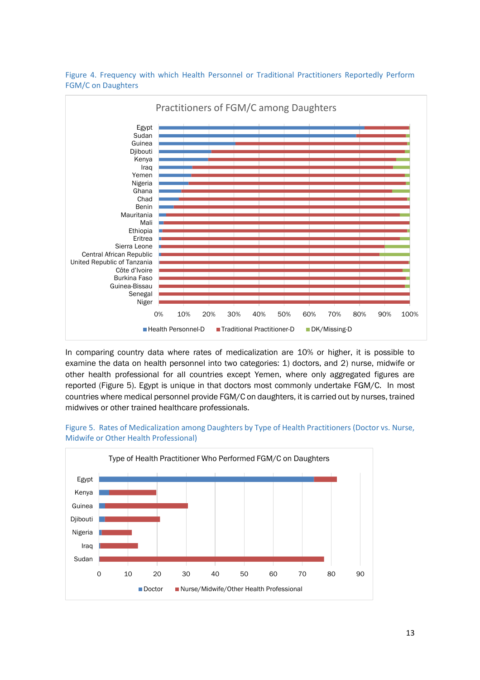

Figure 4. Frequency with which Health Personnel or Traditional Practitioners Reportedly Perform FGM/C on Daughters

In comparing country data where rates of medicalization are 10% or higher, it is possible to examine the data on health personnel into two categories: 1) doctors, and 2) nurse, midwife or other health professional for all countries except Yemen, where only aggregated figures are reported (Figure 5). Egypt is unique in that doctors most commonly undertake FGM/C. In most countries where medical personnel provide FGM/C on daughters, it is carried out by nurses, trained midwives or other trained healthcare professionals.



#### Figure 5. Rates of Medicalization among Daughters by Type of Health Practitioners (Doctor vs. Nurse, Midwife or Other Health Professional)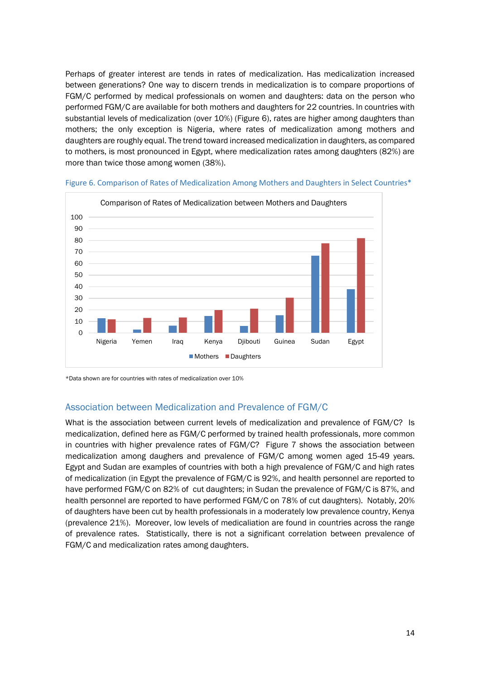Perhaps of greater interest are tends in rates of medicalization. Has medicalization increased between generations? One way to discern trends in medicalization is to compare proportions of FGM/C performed by medical professionals on women and daughters: data on the person who performed FGM/C are available for both mothers and daughters for 22 countries. In countries with substantial levels of medicalization (over 10%) (Figure 6), rates are higher among daughters than mothers; the only exception is Nigeria, where rates of medicalization among mothers and daughters are roughly equal. The trend toward increased medicalization in daughters, as compared to mothers, is most pronounced in Egypt, where medicalization rates among daughters (82%) are more than twice those among women (38%).



Figure 6. Comparison of Rates of Medicalization Among Mothers and Daughters in Select Countries\*

\*Data shown are for countries with rates of medicalization over 10%

### Association between Medicalization and Prevalence of FGM/C

What is the association between current levels of medicalization and prevalence of FGM/C? Is medicalization, defined here as FGM/C performed by trained health professionals, more common in countries with higher prevalence rates of FGM/C? Figure 7 shows the association between medicalization among daughers and prevalence of FGM/C among women aged 15-49 years. Egypt and Sudan are examples of countries with both a high prevalence of FGM/C and high rates of medicalization (in Egypt the prevalence of FGM/C is 92%, and health personnel are reported to have performed FGM/C on 82% of cut daughters; in Sudan the prevalence of FGM/C is 87%, and health personnel are reported to have performed FGM/C on 78% of cut daughters). Notably, 20% of daughters have been cut by health professionals in a moderately low prevalence country, Kenya (prevalence 21%). Moreover, low levels of medicaliation are found in countries across the range of prevalence rates. Statistically, there is not a significant correlation between prevalence of FGM/C and medicalization rates among daughters.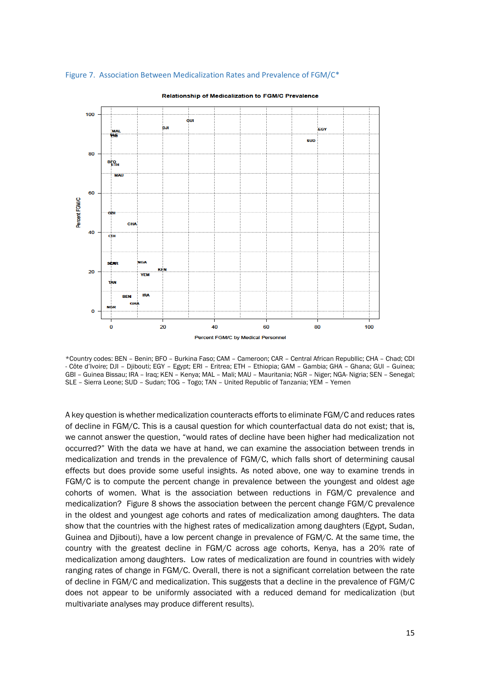

#### Figure 7. Association Between Medicalization Rates and Prevalence of FGM/C\*

Relationship of Medicalization to FGM/C Prevalence

\*Country codes: BEN – Benin; BFO – Burkina Faso; CAM – Cameroon; CAR – Central African Republlic; CHA – Chad; CDI - Côte d'Ivoire; DJI – Djibouti; EGY – Egypt; ERI – Eritrea; ETH – Ethiopia; GAM – Gambia; GHA – Ghana; GUI – Guinea; GBI – Guinea Bissau; IRA – Iraq; KEN – Kenya; MAL – Mali; MAU – Mauritania; NGR – Niger; NGA- Nigria; SEN – Senegal; SLE – Sierra Leone; SUD – Sudan; TOG – Togo; TAN – United Republic of Tanzania; YEM – Yemen

A key question is whether medicalization counteracts efforts to eliminate FGM/C and reduces rates of decline in FGM/C. This is a causal question for which counterfactual data do not exist; that is, we cannot answer the question, "would rates of decline have been higher had medicalization not occurred?" With the data we have at hand, we can examine the association between trends in medicalization and trends in the prevalence of FGM/C, which falls short of determining causal effects but does provide some useful insights. As noted above, one way to examine trends in FGM/C is to compute the percent change in prevalence between the youngest and oldest age cohorts of women. What is the association between reductions in FGM/C prevalence and medicalization? Figure 8 shows the association between the percent change FGM/C prevalence in the oldest and youngest age cohorts and rates of medicalization among daughters. The data show that the countries with the highest rates of medicalization among daughters (Egypt, Sudan, Guinea and Djibouti), have a low percent change in prevalence of FGM/C. At the same time, the country with the greatest decline in FGM/C across age cohorts, Kenya, has a 20% rate of medicalization among daughters. Low rates of medicalization are found in countries with widely ranging rates of change in FGM/C. Overall, there is not a significant correlation between the rate of decline in FGM/C and medicalization. This suggests that a decline in the prevalence of FGM/C does not appear to be uniformly associated with a reduced demand for medicalization (but multivariate analyses may produce different results).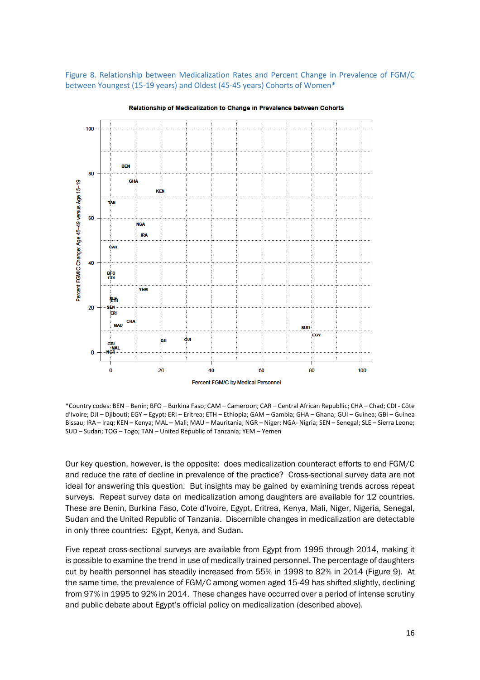Figure 8. Relationship between Medicalization Rates and Percent Change in Prevalence of FGM/C between Youngest (15-19 years) and Oldest (45-45 years) Cohorts of Women\*



Relationship of Medicalization to Change in Prevalence between Cohorts

\*Country codes: BEN – Benin; BFO – Burkina Faso; CAM – Cameroon; CAR – Central African Republlic; CHA – Chad; CDI - Côte d'Ivoire; DJI – Djibouti; EGY – Egypt; ERI – Eritrea; ETH – Ethiopia; GAM – Gambia; GHA – Ghana; GUI – Guinea; GBI – Guinea Bissau; IRA – Iraq; KEN – Kenya; MAL – Mali; MAU – Mauritania; NGR – Niger; NGA- Nigria; SEN – Senegal; SLE – Sierra Leone; SUD – Sudan; TOG – Togo; TAN – United Republic of Tanzania; YEM – Yemen

Our key question, however, is the opposite: does medicalization counteract efforts to end FGM/C and reduce the rate of decline in prevalence of the practice? Cross-sectional survey data are not ideal for answering this question. But insights may be gained by examining trends across repeat surveys. Repeat survey data on medicalization among daughters are available for 12 countries. These are Benin, Burkina Faso, Cote d'Ivoire, Egypt, Eritrea, Kenya, Mali, Niger, Nigeria, Senegal, Sudan and the United Republic of Tanzania. Discernible changes in medicalization are detectable in only three countries: Egypt, Kenya, and Sudan.

Five repeat cross-sectional surveys are available from Egypt from 1995 through 2014, making it is possible to examine the trend in use of medically trained personnel. The percentage of daughters cut by health personnel has steadily increased from 55% in 1998 to 82% in 2014 (Figure 9). At the same time, the prevalence of FGM/C among women aged 15-49 has shifted slightly, declining from 97% in 1995 to 92% in 2014. These changes have occurred over a period of intense scrutiny and public debate about Egypt's official policy on medicalization (described above).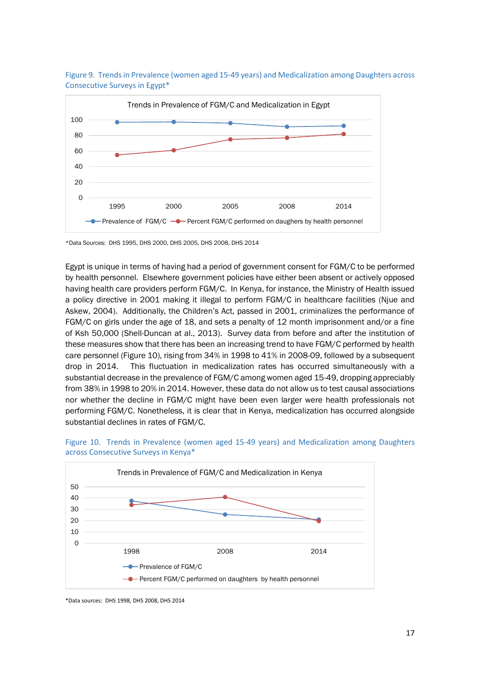

Figure 9. Trends in Prevalence (women aged 15-49 years) and Medicalization among Daughters across Consecutive Surveys in Egypt\*

\*Data Sources: DHS 1995, DHS 2000, DHS 2005, DHS 2008, DHS 2014

Egypt is unique in terms of having had a period of government consent for FGM/C to be performed by health personnel. Elsewhere government policies have either been absent or actively opposed having health care providers perform FGM/C. In Kenya, for instance, the Ministry of Health issued a policy directive in 2001 making it illegal to perform FGM/C in healthcare facilities (Njue and Askew, 2004). Additionally, the Children's Act, passed in 2001, criminalizes the performance of FGM/C on girls under the age of 18, and sets a penalty of 12 month imprisonment and/or a fine of Ksh 50,000 (Shell-Duncan at al., 2013). Survey data from before and after the institution of these measures show that there has been an increasing trend to have FGM/C performed by health care personnel (Figure 10), rising from 34% in 1998 to 41% in 2008-09, followed by a subsequent drop in 2014. This fluctuation in medicalization rates has occurred simultaneously with a substantial decrease in the prevalence of FGM/C among women aged 15-49, dropping appreciably from 38% in 1998 to 20% in 2014. However, these data do not allow us to test causal associations nor whether the decline in FGM/C might have been even larger were health professionals not performing FGM/C. Nonetheless, it is clear that in Kenya, medicalization has occurred alongside substantial declines in rates of FGM/C.





<sup>\*</sup>Data sources: DHS 1998, DHS 2008, DHS 2014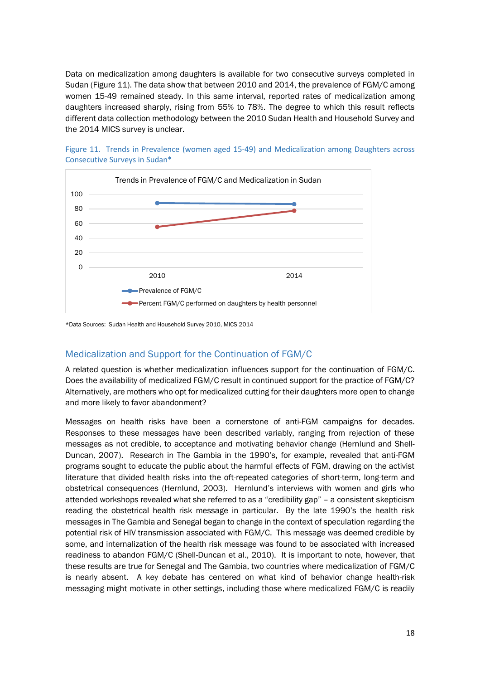Data on medicalization among daughters is available for two consecutive surveys completed in Sudan (Figure 11). The data show that between 2010 and 2014, the prevalence of FGM/C among women 15-49 remained steady. In this same interval, reported rates of medicalization among daughters increased sharply, rising from 55% to 78%. The degree to which this result reflects different data collection methodology between the 2010 Sudan Health and Household Survey and the 2014 MICS survey is unclear.





\*Data Sources: Sudan Health and Household Survey 2010, MICS 2014

### Medicalization and Support for the Continuation of FGM/C

A related question is whether medicalization influences support for the continuation of FGM/C. Does the availability of medicalized FGM/C result in continued support for the practice of FGM/C? Alternatively, are mothers who opt for medicalized cutting for their daughters more open to change and more likely to favor abandonment?

Messages on health risks have been a cornerstone of anti-FGM campaigns for decades. Responses to these messages have been described variably, ranging from rejection of these messages as not credible, to acceptance and motivating behavior change (Hernlund and Shell-Duncan, 2007). Research in The Gambia in the 1990's, for example, revealed that anti-FGM programs sought to educate the public about the harmful effects of FGM, drawing on the activist literature that divided health risks into the oft-repeated categories of short-term, long-term and obstetrical consequences (Hernlund, 2003). Hernlund's interviews with women and girls who attended workshops revealed what she referred to as a "credibility gap" – a consistent skepticism reading the obstetrical health risk message in particular. By the late 1990's the health risk messages in The Gambia and Senegal began to change in the context of speculation regarding the potential risk of HIV transmission associated with FGM/C. This message was deemed credible by some, and internalization of the health risk message was found to be associated with increased readiness to abandon FGM/C (Shell-Duncan et al., 2010). It is important to note, however, that these results are true for Senegal and The Gambia, two countries where medicalization of FGM/C is nearly absent. A key debate has centered on what kind of behavior change health-risk messaging might motivate in other settings, including those where medicalized FGM/C is readily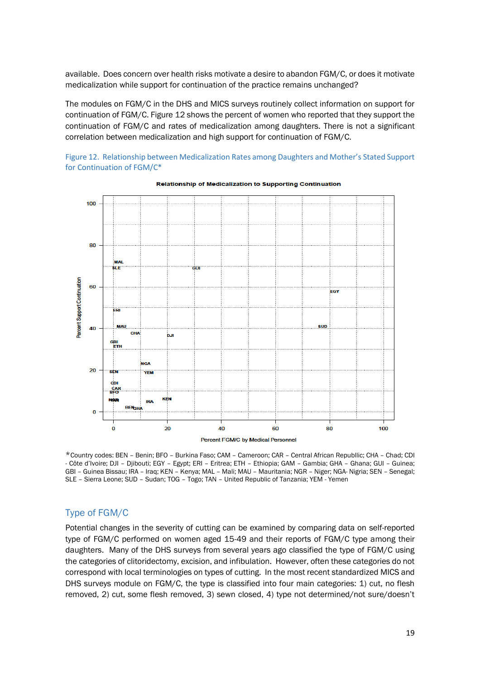available. Does concern over health risks motivate a desire to abandon FGM/C, or does it motivate medicalization while support for continuation of the practice remains unchanged?

The modules on FGM/C in the DHS and MICS surveys routinely collect information on support for continuation of FGM/C. Figure 12 shows the percent of women who reported that they support the continuation of FGM/C and rates of medicalization among daughters. There is not a significant correlation between medicalization and high support for continuation of FGM/C.

Figure 12. Relationship between Medicalization Rates among Daughters and Mother's Stated Support for Continuation of FGM/C\*



**Relationship of Medicalization to Supporting Continuation** 

\*Country codes: BEN – Benin; BFO – Burkina Faso; CAM – Cameroon; CAR – Central African Republlic; CHA – Chad; CDI - Côte d'Ivoire; DJI – Djibouti; EGY – Egypt; ERI – Eritrea; ETH – Ethiopia; GAM – Gambia; GHA – Ghana; GUI – Guinea; GBI – Guinea Bissau; IRA – Iraq; KEN – Kenya; MAL – Mali; MAU – Mauritania; NGR – Niger; NGA- Nigria; SEN – Senegal; SLE – Sierra Leone; SUD – Sudan; TOG – Togo; TAN – United Republic of Tanzania; YEM - Yemen

### Type of FGM/C

Potential changes in the severity of cutting can be examined by comparing data on self-reported type of FGM/C performed on women aged 15-49 and their reports of FGM/C type among their daughters. Many of the DHS surveys from several years ago classified the type of FGM/C using the categories of clitoridectomy, excision, and infibulation. However, often these categories do not correspond with local terminologies on types of cutting. In the most recent standardized MICS and DHS surveys module on FGM/C, the type is classified into four main categories: 1) cut, no flesh removed, 2) cut, some flesh removed, 3) sewn closed, 4) type not determined/not sure/doesn't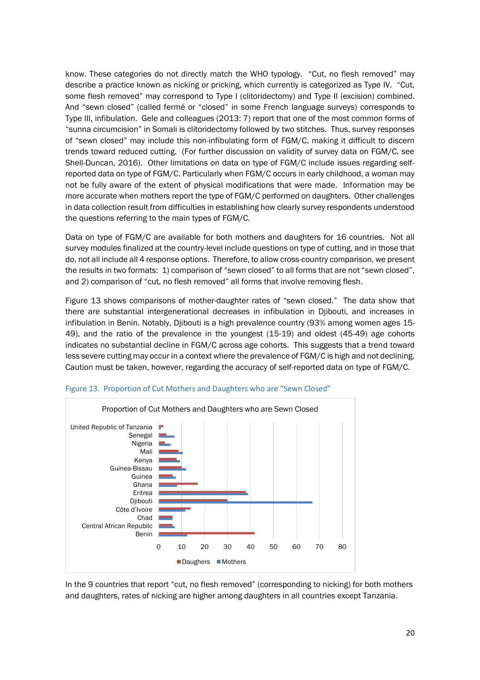know. These categories do not directly match the WHO typology. "Cut, no flesh removed" may describe a practice known as nicking or pricking, which currently is categorized as Type IV. "Cut, some flesh removed" may correspond to Type I (clitoridectomy) and Type II (excision) combined. And "sewn closed" (called fermé or "closed" in some French language surveys) corresponds to Type III, infibulation. Gele and colleagues (2013: 7) report that one of the most common forms of "sunna circumcision" in Somali is clitoridectomy followed by two stitches. Thus, survey responses of "sewn closed" may include this non-infibulating form of FGM/C, making it difficult to discern trends toward reduced cutting. (For further discussion on validity of survey data on FGM/C, see Shell-Duncan, 2016). Other limitations on data on type of FGM/C include issues regarding selfreported data on type of FGM/C. Particularly when FGM/C occurs in early childhood, a woman may not be fully aware of the extent of physical modifications that were made. Information may be more accurate when mothers report the type of FGM/C performed on daughters. Other challenges in data collection result from difficulties in establishing how clearly survey respondents understood the questions referring to the main types of FGM/C.

Data on type of FGM/C are available for both mothers and daughters for 16 countries. Not all survey modules finalized at the country-level include questions on type of cutting, and in those that do, not all include all 4 response options. Therefore, to allow cross-country comparison, we present the results in two formats: 1) comparison of "sewn closed" to all forms that are not "sewn closed", and 2) comparison of "cut, no flesh removed" all forms that involve removing flesh.

Figure 13 shows comparisons of mother-daughter rates of "sewn closed." The data show that there are substantial intergenerational decreases in infibulation in Djibouti, and increases in infibulation in Benin. Notably, Djibouti is a high prevalence country (93% among women ages 15- 49), and the ratio of the prevalence in the youngest (15-19) and oldest (45-49) age cohorts indicates no substantial decline in FGM/C across age cohorts. This suggests that a trend toward less severe cutting may occur in a context where the prevalence of FGM/C is high and not declining. Caution must be taken, however, regarding the accuracy of self-reported data on type of FGM/C.



Figure 13. Proportion of Cut Mothers and Daughters who are "Sewn Closed"

In the 9 countries that report "cut, no flesh removed" (corresponding to nicking) for both mothers and daughters, rates of nicking are higher among daughters in all countries except Tanzania.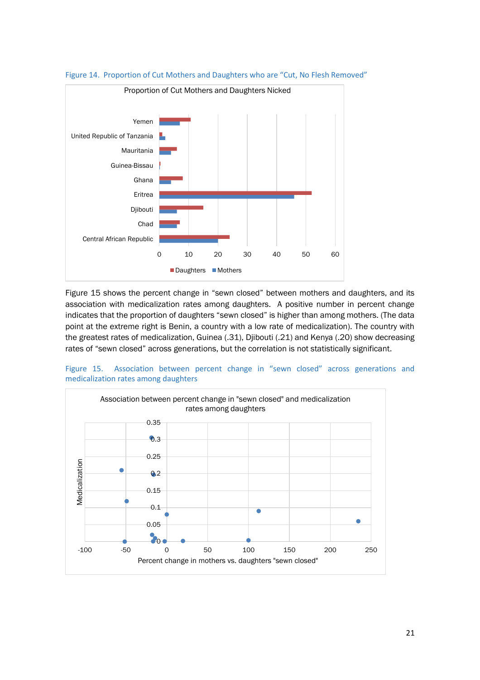

Figure 14. Proportion of Cut Mothers and Daughters who are "Cut, No Flesh Removed"

Figure 15 shows the percent change in "sewn closed" between mothers and daughters, and its association with medicalization rates among daughters. A positive number in percent change indicates that the proportion of daughters "sewn closed" is higher than among mothers. (The data point at the extreme right is Benin, a country with a low rate of medicalization). The country with the greatest rates of medicalization, Guinea (.31), Djibouti (.21) and Kenya (.20) show decreasing rates of "sewn closed" across generations, but the correlation is not statistically significant.



Figure 15. Association between percent change in "sewn closed" across generations and medicalization rates among daughters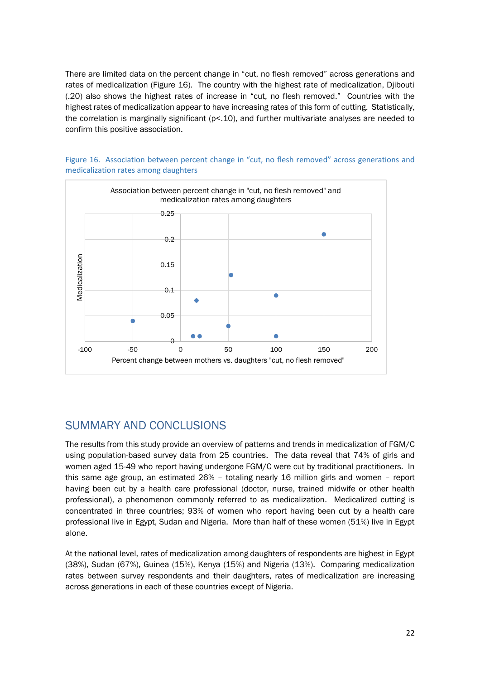There are limited data on the percent change in "cut, no flesh removed" across generations and rates of medicalization (Figure 16). The country with the highest rate of medicalization, Djibouti (.20) also shows the highest rates of increase in "cut, no flesh removed." Countries with the highest rates of medicalization appear to have increasing rates of this form of cutting. Statistically, the correlation is marginally significant (p<.10), and further multivariate analyses are needed to confirm this positive association.



Figure 16. Association between percent change in "cut, no flesh removed" across generations and medicalization rates among daughters

### SUMMARY AND CONCLUSIONS

The results from this study provide an overview of patterns and trends in medicalization of FGM/C using population-based survey data from 25 countries. The data reveal that 74% of girls and women aged 15-49 who report having undergone FGM/C were cut by traditional practitioners. In this same age group, an estimated 26% – totaling nearly 16 million girls and women – report having been cut by a health care professional (doctor, nurse, trained midwife or other health professional), a phenomenon commonly referred to as medicalization. Medicalized cutting is concentrated in three countries; 93% of women who report having been cut by a health care professional live in Egypt, Sudan and Nigeria. More than half of these women (51%) live in Egypt alone.

At the national level, rates of medicalization among daughters of respondents are highest in Egypt (38%), Sudan (67%), Guinea (15%), Kenya (15%) and Nigeria (13%). Comparing medicalization rates between survey respondents and their daughters, rates of medicalization are increasing across generations in each of these countries except of Nigeria.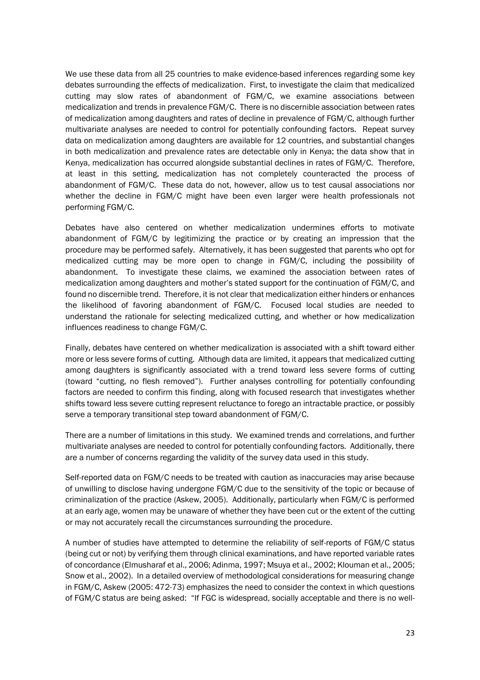We use these data from all 25 countries to make evidence-based inferences regarding some key debates surrounding the effects of medicalization. First, to investigate the claim that medicalized cutting may slow rates of abandonment of FGM/C, we examine associations between medicalization and trends in prevalence FGM/C. There is no discernible association between rates of medicalization among daughters and rates of decline in prevalence of FGM/C, although further multivariate analyses are needed to control for potentially confounding factors. Repeat survey data on medicalization among daughters are available for 12 countries, and substantial changes in both medicalization and prevalence rates are detectable only in Kenya; the data show that in Kenya, medicalization has occurred alongside substantial declines in rates of FGM/C. Therefore, at least in this setting, medicalization has not completely counteracted the process of abandonment of FGM/C. These data do not, however, allow us to test causal associations nor whether the decline in FGM/C might have been even larger were health professionals not performing FGM/C.

Debates have also centered on whether medicalization undermines efforts to motivate abandonment of FGM/C by legitimizing the practice or by creating an impression that the procedure may be performed safely. Alternatively, it has been suggested that parents who opt for medicalized cutting may be more open to change in FGM/C, including the possibility of abandonment. To investigate these claims, we examined the association between rates of medicalization among daughters and mother's stated support for the continuation of FGM/C, and found no discernible trend. Therefore, it is not clear that medicalization either hinders or enhances the likelihood of favoring abandonment of FGM/C. Focused local studies are needed to understand the rationale for selecting medicalized cutting, and whether or how medicalization influences readiness to change FGM/C.

Finally, debates have centered on whether medicalization is associated with a shift toward either more or less severe forms of cutting. Although data are limited, it appears that medicalized cutting among daughters is significantly associated with a trend toward less severe forms of cutting (toward "cutting, no flesh removed"). Further analyses controlling for potentially confounding factors are needed to confirm this finding, along with focused research that investigates whether shifts toward less severe cutting represent reluctance to forego an intractable practice, or possibly serve a temporary transitional step toward abandonment of FGM/C.

There are a number of limitations in this study. We examined trends and correlations, and further multivariate analyses are needed to control for potentially confounding factors. Additionally, there are a number of concerns regarding the validity of the survey data used in this study.

Self-reported data on FGM/C needs to be treated with caution as inaccuracies may arise because of unwilling to disclose having undergone FGM/C due to the sensitivity of the topic or because of criminalization of the practice (Askew, 2005). Additionally, particularly when FGM/C is performed at an early age, women may be unaware of whether they have been cut or the extent of the cutting or may not accurately recall the circumstances surrounding the procedure.

A number of studies have attempted to determine the reliability of self-reports of FGM/C status (being cut or not) by verifying them through clinical examinations, and have reported variable rates of concordance (Elmusharaf et al., 2006; Adinma, 1997; Msuya et al., 2002; Klouman et al., 2005; Snow et al., 2002). In a detailed overview of methodological considerations for measuring change in FGM/C, Askew (2005: 472-73) emphasizes the need to consider the context in which questions of FGM/C status are being asked: "If FGC is widespread, socially acceptable and there is no well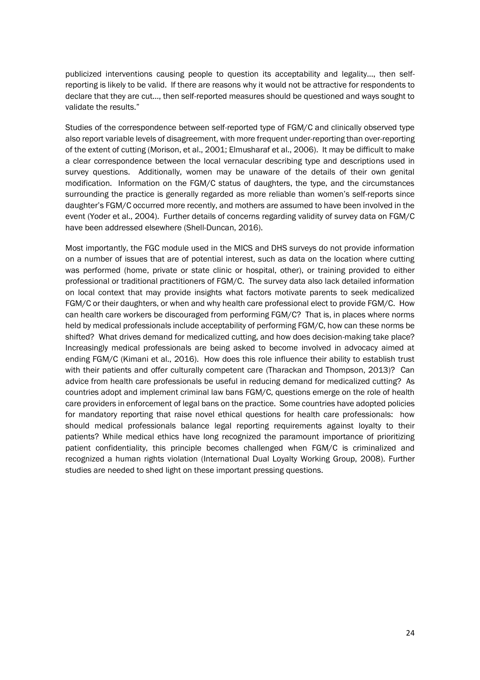publicized interventions causing people to question its acceptability and legality…, then selfreporting is likely to be valid. If there are reasons why it would not be attractive for respondents to declare that they are cut…, then self-reported measures should be questioned and ways sought to validate the results."

Studies of the correspondence between self-reported type of FGM/C and clinically observed type also report variable levels of disagreement, with more frequent under-reporting than over-reporting of the extent of cutting (Morison, et al., 2001; Elmusharaf et al., 2006). It may be difficult to make a clear correspondence between the local vernacular describing type and descriptions used in survey questions. Additionally, women may be unaware of the details of their own genital modification. Information on the FGM/C status of daughters, the type, and the circumstances surrounding the practice is generally regarded as more reliable than women's self-reports since daughter's FGM/C occurred more recently, and mothers are assumed to have been involved in the event (Yoder et al., 2004). Further details of concerns regarding validity of survey data on FGM/C have been addressed elsewhere (Shell-Duncan, 2016).

Most importantly, the FGC module used in the MICS and DHS surveys do not provide information on a number of issues that are of potential interest, such as data on the location where cutting was performed (home, private or state clinic or hospital, other), or training provided to either professional or traditional practitioners of FGM/C. The survey data also lack detailed information on local context that may provide insights what factors motivate parents to seek medicalized FGM/C or their daughters, or when and why health care professional elect to provide FGM/C. How can health care workers be discouraged from performing FGM/C? That is, in places where norms held by medical professionals include acceptability of performing FGM/C, how can these norms be shifted? What drives demand for medicalized cutting, and how does decision-making take place? Increasingly medical professionals are being asked to become involved in advocacy aimed at ending FGM/C (Kimani et al., 2016). How does this role influence their ability to establish trust with their patients and offer culturally competent care (Tharackan and Thompson, 2013)? Can advice from health care professionals be useful in reducing demand for medicalized cutting? As countries adopt and implement criminal law bans FGM/C, questions emerge on the role of health care providers in enforcement of legal bans on the practice. Some countries have adopted policies for mandatory reporting that raise novel ethical questions for health care professionals: how should medical professionals balance legal reporting requirements against loyalty to their patients? While medical ethics have long recognized the paramount importance of prioritizing patient confidentiality, this principle becomes challenged when FGM/C is criminalized and recognized a human rights violation (International Dual Loyalty Working Group, 2008). Further studies are needed to shed light on these important pressing questions.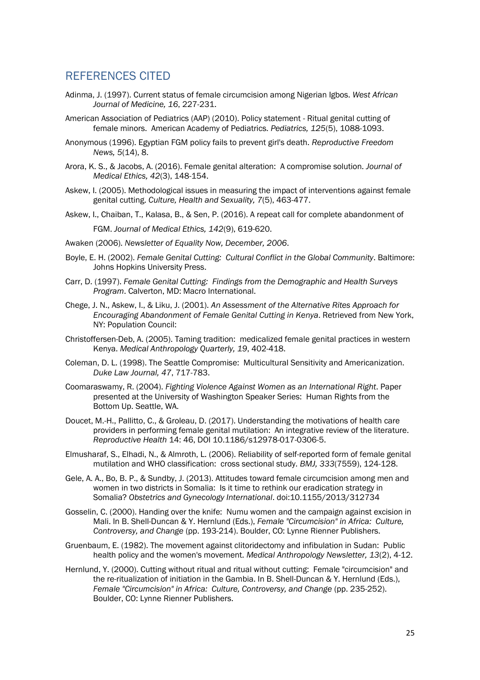### REFERENCES CITED

- Adinma, J. (1997). Current status of female circumcision among Nigerian Igbos. *West African Journal of Medicine, 16*, 227-231.
- American Association of Pediatrics (AAP) (2010). Policy statement Ritual genital cutting of female minors. American Academy of Pediatrics. *Pediatrics, 125*(5), 1088-1093.
- Anonymous (1996). Egyptian FGM policy fails to prevent girl's death. *Reproductive Freedom News, 5*(14), 8.
- Arora, K. S., & Jacobs, A. (2016). Female genital alteration: A compromise solution. *Journal of Medical Ethics, 42*(3), 148-154.
- Askew, I. (2005). Methodological issues in measuring the impact of interventions against female genital cutting. *Culture, Health and Sexuality, 7*(5), 463-477.
- Askew, I., Chaiban, T., Kalasa, B., & Sen, P. (2016). A repeat call for complete abandonment of FGM. *Journal of Medical Ethics, 142*(9), 619-620.
- Awaken (2006). *Newsletter of Equality Now, December, 2006*.
- Boyle, E. H. (2002). *Female Genital Cutting: Cultural Conflict in the Global Community*. Baltimore: Johns Hopkins University Press.
- Carr, D. (1997). *Female Genital Cutting: Findings from the Demographic and Health Surveys Program*. Calverton, MD: Macro International.
- Chege, J. N., Askew, I., & Liku, J. (2001). *An Assessment of the Alternative Rites Approach for Encouraging Abandonment of Female Genital Cutting in Kenya*. Retrieved from New York, NY: Population Council:
- Christoffersen-Deb, A. (2005). Taming tradition: medicalized female genital practices in western Kenya. *Medical Anthropology Quarterly, 19*, 402-418.
- Coleman, D. L. (1998). The Seattle Compromise: Multicultural Sensitivity and Americanization. *Duke Law Journal, 47*, 717-783.
- Coomaraswamy, R. (2004). *Fighting Violence Against Women as an International Right*. Paper presented at the University of Washington Speaker Series: Human Rights from the Bottom Up. Seattle, WA.
- Doucet, M.-H., Pallitto, C., & Groleau, D. (2017). Understanding the motivations of health care providers in performing female genital mutilation: An integrative review of the literature. *Reproductive Health* 14: 46, DOI 10.1186/s12978-017-0306-5.
- Elmusharaf, S., Elhadi, N., & Almroth, L. (2006). Reliability of self-reported form of female genital mutilation and WHO classification: cross sectional study. *BMJ, 333*(7559), 124-128.
- Gele, A. A., Bo, B. P., & Sundby, J. (2013). Attitudes toward female circumcision among men and women in two districts in Somalia: Is it time to rethink our eradication strategy in Somalia? *Obstetrics and Gynecology International*. doi:10.1155/2013/312734
- Gosselin, C. (2000). Handing over the knife: Numu women and the campaign against excision in Mali. In B. Shell-Duncan & Y. Hernlund (Eds.), *Female "Circumcision" in Africa: Culture, Controversy, and Change* (pp. 193-214). Boulder, CO: Lynne Rienner Publishers.
- Gruenbaum, E. (1982). The movement against clitoridectomy and infibulation in Sudan: Public health policy and the women's movement. *Medical Anthropology Newsletter, 13*(2), 4-12.
- Hernlund, Y. (2000). Cutting without ritual and ritual without cutting: Female "circumcision" and the re-ritualization of initiation in the Gambia. In B. Shell-Duncan & Y. Hernlund (Eds.), *Female "Circumcision" in Africa: Culture, Controversy, and Change* (pp. 235-252). Boulder, CO: Lynne Rienner Publishers.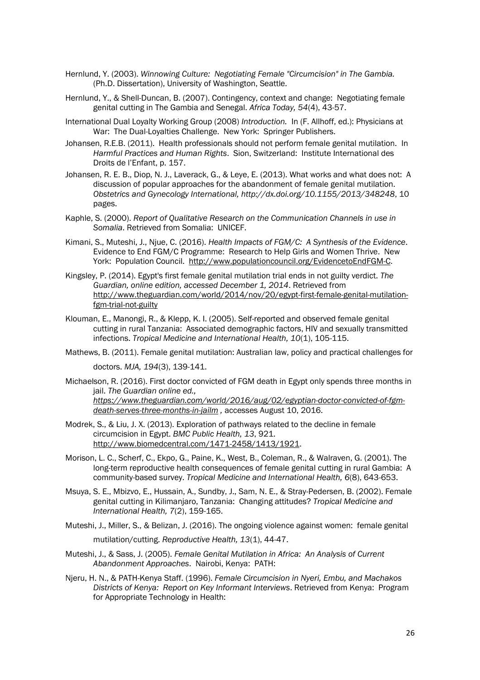- Hernlund, Y. (2003). *Winnowing Culture: Negotiating Female "Circumcision" in The Gambia.* (Ph.D. Dissertation), University of Washington, Seattle.
- Hernlund, Y., & Shell-Duncan, B. (2007). Contingency, context and change: Negotiating female genital cutting in The Gambia and Senegal. *Africa Today, 54*(4), 43-57.
- International Dual Loyalty Working Group (2008) *Introduction.* In (F. Allhoff, ed.): Physicians at War: The Dual-Lovalties Challenge. New York: Springer Publishers.
- Johansen, R.E.B. (2011). Health professionals should not perform female genital mutilation. In *Harmful Practices and Human Rights*. Sion, Switzerland: Institute International des Droits de l'Enfant, p. 157.
- Johansen, R. E. B., Diop, N. J., Laverack, G., & Leye, E. (2013). What works and what does not: A discussion of popular approaches for the abandonment of female genital mutilation. *Obstetrics and Gynecology International, http://dx.doi.org/10.1155/2013/348248*, 10 pages.
- Kaphle, S. (2000). *Report of Qualitative Research on the Communication Channels in use in Somalia*. Retrieved from Somalia: UNICEF.
- Kimani, S., Muteshi, J., Njue, C. (2016). *Health Impacts of FGM/C: A Synthesis of the Evidence*. Evidence to End FGM/C Programme: Research to Help Girls and Women Thrive. New York: Population Council. http://www.populationcouncil.org/EvidencetoEndFGM-C.
- Kingsley, P. (2014). Egypt's first female genital mutilation trial ends in not guilty verdict. *The Guardian, online edition, accessed December 1, 2014*. Retrieved from http://www.theguardian.com/world/2014/nov/20/egypt-first-female-genital-mutilationfgm-trial-not-guilty
- Klouman, E., Manongi, R., & Klepp, K. I. (2005). Self-reported and observed female genital cutting in rural Tanzania: Associated demographic factors, HIV and sexually transmitted infections. *Tropical Medicine and International Health, 10*(1), 105-115.
- Mathews, B. (2011). Female genital mutilation: Australian law, policy and practical challenges for

doctors. *MJA, 194*(3), 139-141.

Michaelson, R. (2016). First doctor convicted of FGM death in Egypt only spends three months in jail. *The Guardian online ed., https://www.theguardian.com/world/2016/aug/02/egyptian-doctor-convicted-of-fgm-*

*death-serves-three-months-in-jailm ,* accesses August 10, 2016.

- Modrek, S., & Liu, J. X. (2013). Exploration of pathways related to the decline in female circumcision in Egypt. *BMC Public Health, 13*, 921. http://www.biomedcentral.com/1471-2458/1413/1921.
- Morison, L. C., Scherf, C., Ekpo, G., Paine, K., West, B., Coleman, R., & Walraven, G. (2001). The long-term reproductive health consequences of female genital cutting in rural Gambia: A community-based survey. *Tropical Medicine and International Health, 6*(8), 643-653.
- Msuya, S. E., Mbizvo, E., Hussain, A., Sundby, J., Sam, N. E., & Stray-Pedersen, B. (2002). Female genital cutting in Kilimanjaro, Tanzania: Changing attitudes? *Tropical Medicine and International Health, 7*(2), 159-165.
- Muteshi, J., Miller, S., & Belizan, J. (2016). The ongoing violence against women: female genital mutilation/cutting. *Reproductive Health, 13*(1), 44-47.
- Muteshi, J., & Sass, J. (2005). *Female Genital Mutilation in Africa: An Analysis of Current Abandonment Approaches*. Nairobi, Kenya: PATH:
- Njeru, H. N., & PATH-Kenya Staff. (1996). *Female Circumcision in Nyeri, Embu, and Machakos Districts of Kenya: Report on Key Informant Interviews*. Retrieved from Kenya: Program for Appropriate Technology in Health: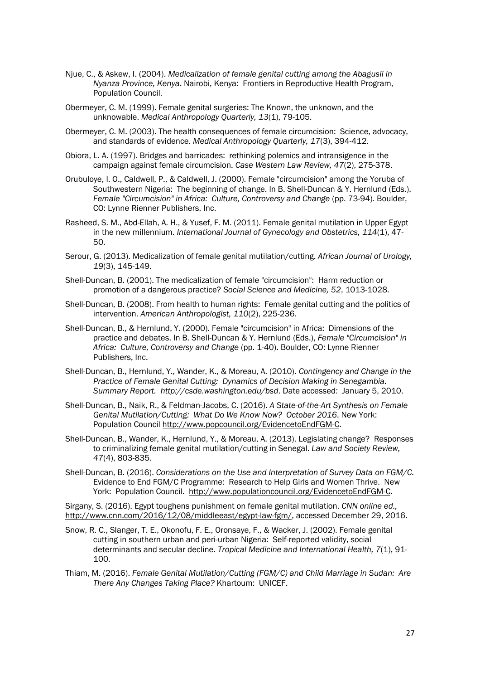- Njue, C., & Askew, I. (2004). *Medicalization of female genital cutting among the Abagusii in Nyanza Province, Kenya*. Nairobi, Kenya: Frontiers in Reproductive Health Program, Population Council.
- Obermeyer, C. M. (1999). Female genital surgeries: The Known, the unknown, and the unknowable. *Medical Anthropology Quarterly, 13*(1), 79-105.
- Obermeyer, C. M. (2003). The health consequences of female circumcision: Science, advocacy, and standards of evidence. *Medical Anthropology Quarterly, 17*(3), 394-412.
- Obiora, L. A. (1997). Bridges and barricades: rethinking polemics and intransigence in the campaign against female circumcision. *Case Western Law Review, 47*(2), 275-378.
- Orubuloye, I. O., Caldwell, P., & Caldwell, J. (2000). Female "circumcision" among the Yoruba of Southwestern Nigeria: The beginning of change. In B. Shell-Duncan & Y. Hernlund (Eds.), *Female "Circumcision" in Africa: Culture, Controversy and Change* (pp. 73-94). Boulder, CO: Lynne Rienner Publishers, Inc.
- Rasheed, S. M., Abd-Ellah, A. H., & Yusef, F. M. (2011). Female genital mutilation in Upper Egypt in the new millennium. *International Journal of Gynecology and Obstetrics, 114*(1), 47- 50.
- Serour, G. (2013). Medicalization of female genital mutilation/cutting. *African Journal of Urology, 19*(3), 145-149.
- Shell-Duncan, B. (2001). The medicalization of female "circumcision": Harm reduction or promotion of a dangerous practice? *Social Science and Medicine, 52*, 1013-1028.
- Shell-Duncan, B. (2008). From health to human rights: Female genital cutting and the politics of intervention. *American Anthropologist, 110*(2), 225-236.
- Shell-Duncan, B., & Hernlund, Y. (2000). Female "circumcision" in Africa: Dimensions of the practice and debates. In B. Shell-Duncan & Y. Hernlund (Eds.), *Female "Circumcision" in Africa: Culture, Controversy and Change* (pp. 1-40). Boulder, CO: Lynne Rienner Publishers, Inc.
- Shell-Duncan, B., Hernlund, Y., Wander, K., & Moreau, A. (2010). *Contingency and Change in the Practice of Female Genital Cutting: Dynamics of Decision Making in Senegambia. Summary Report. http://csde.washington.edu/bsd*. Date accessed: January 5, 2010.
- Shell-Duncan, B., Naik, R., & Feldman-Jacobs, C. (2016). *A State-of-the-Art Synthesis on Female Genital Mutilation/Cutting: What Do We Know Now? October 2016*. New York: Population Council http://www.popcouncil.org/EvidencetoEndFGM-C.
- Shell-Duncan, B., Wander, K., Hernlund, Y., & Moreau, A. (2013). Legislating change? Responses to criminalizing female genital mutilation/cutting in Senegal. *Law and Society Review, 47*(4), 803-835.
- Shell-Duncan, B. (2016). *Considerations on the Use and Interpretation of Survey Data on FGM/C.* Evidence to End FGM/C Programme: Research to Help Girls and Women Thrive. New York: Population Council. http://www.populationcouncil.org/EvidencetoEndFGM-C.

Sirgany, S. (2016). Egypt toughens punishment on female genital mutilation. *CNN online ed.,*  http://www.cnn.com/2016/12/08/middleeast/egypt-law-fgm/, accessed December 29, 2016.

- Snow, R. C., Slanger, T. E., Okonofu, F. E., Oronsaye, F., & Wacker, J. (2002). Female genital cutting in southern urban and peri-urban Nigeria: Self-reported validity, social determinants and secular decline. *Tropical Medicine and International Health, 7*(1), 91- 100.
- Thiam, M. (2016). *Female Genital Mutilation/Cutting (FGM/C) and Child Marriage in Sudan: Are There Any Changes Taking Place?* Khartoum: UNICEF.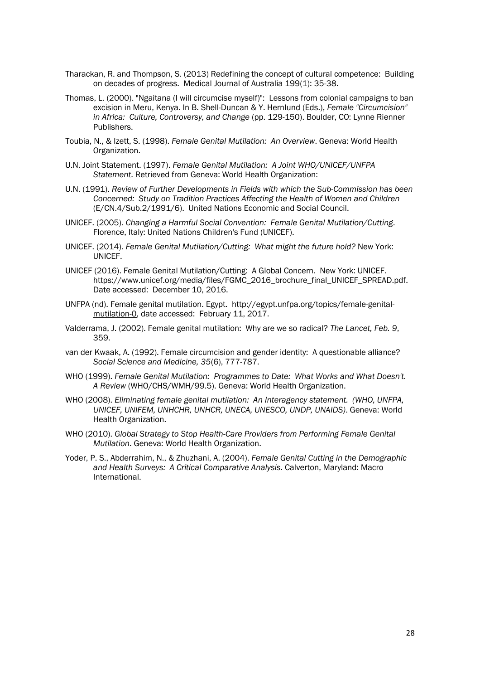- Tharackan, R. and Thompson, S. (2013) Redefining the concept of cultural competence: Building on decades of progress. Medical Journal of Australia 199(1): 35-38.
- Thomas, L. (2000). "Ngaitana (I will circumcise myself)": Lessons from colonial campaigns to ban excision in Meru, Kenya. In B. Shell-Duncan & Y. Hernlund (Eds.), *Female "Circumcision" in Africa: Culture, Controversy, and Change* (pp. 129-150). Boulder, CO: Lynne Rienner Publishers.
- Toubia, N., & Izett, S. (1998). *Female Genital Mutilation: An Overview*. Geneva: World Health Organization.
- U.N. Joint Statement. (1997). *Female Genital Mutilation: A Joint WHO/UNICEF/UNFPA Statement*. Retrieved from Geneva: World Health Organization:
- U.N. (1991). *Review of Further Developments in Fields with which the Sub-Commission has been Concerned: Study on Tradition Practices Affecting the Health of Women and Children* (E/CN.4/Sub.2/1991/6). United Nations Economic and Social Council.
- UNICEF. (2005). *Changing a Harmful Social Convention: Female Genital Mutilation/Cutting*. Florence, Italy: United Nations Children's Fund (UNICEF).
- UNICEF. (2014). *Female Genital Mutilation/Cutting: What might the future hold?* New York: UNICEF.
- UNICEF (2016). Female Genital Mutilation/Cutting: A Global Concern. New York: UNICEF. https://www.unicef.org/media/files/FGMC\_2016\_brochure\_final\_UNICEF\_SPREAD.pdf. Date accessed: December 10, 2016.
- UNFPA (nd). Female genital mutilation. Egypt. http://egypt.unfpa.org/topics/female-genitalmutilation-0, date accessed: February 11, 2017.
- Valderrama, J. (2002). Female genital mutilation: Why are we so radical? *The Lancet, Feb. 9*, 359.
- van der Kwaak, A. (1992). Female circumcision and gender identity: A questionable alliance? *Social Science and Medicine, 35*(6), 777-787.
- WHO (1999). *Female Genital Mutilation: Programmes to Date: What Works and What Doesn't. A Review* (WHO/CHS/WMH/99.5). Geneva: World Health Organization.
- WHO (2008). *Eliminating female genital mutilation: An Interagency statement. (WHO, UNFPA, UNICEF, UNIFEM, UNHCHR, UNHCR, UNECA, UNESCO, UNDP, UNAIDS)*. Geneva: World Health Organization.
- WHO (2010). *Global Strategy to Stop Health-Care Providers from Performing Female Genital Mutilation*. Geneva: World Health Organization.
- Yoder, P. S., Abderrahim, N., & Zhuzhani, A. (2004). *Female Genital Cutting in the Demographic and Health Surveys: A Critical Comparative Analysis*. Calverton, Maryland: Macro International.